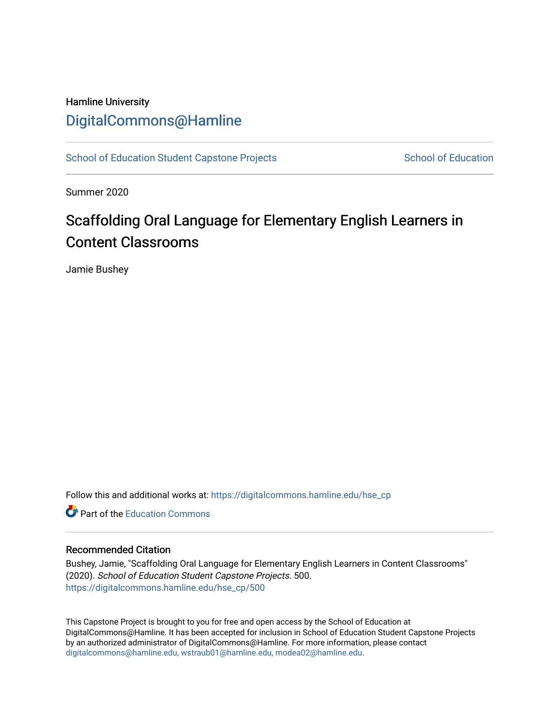# Hamline University [DigitalCommons@Hamline](https://digitalcommons.hamline.edu/)

[School of Education Student Capstone Projects](https://digitalcommons.hamline.edu/hse_cp) [School of Education](https://digitalcommons.hamline.edu/hse) School of Education

Summer 2020

# Scaffolding Oral Language for Elementary English Learners in Content Classrooms

Jamie Bushey

Follow this and additional works at: [https://digitalcommons.hamline.edu/hse\\_cp](https://digitalcommons.hamline.edu/hse_cp?utm_source=digitalcommons.hamline.edu%2Fhse_cp%2F500&utm_medium=PDF&utm_campaign=PDFCoverPages) 

**C** Part of the [Education Commons](http://network.bepress.com/hgg/discipline/784?utm_source=digitalcommons.hamline.edu%2Fhse_cp%2F500&utm_medium=PDF&utm_campaign=PDFCoverPages)

# Recommended Citation

Bushey, Jamie, "Scaffolding Oral Language for Elementary English Learners in Content Classrooms" (2020). School of Education Student Capstone Projects. 500. [https://digitalcommons.hamline.edu/hse\\_cp/500](https://digitalcommons.hamline.edu/hse_cp/500?utm_source=digitalcommons.hamline.edu%2Fhse_cp%2F500&utm_medium=PDF&utm_campaign=PDFCoverPages) 

This Capstone Project is brought to you for free and open access by the School of Education at DigitalCommons@Hamline. It has been accepted for inclusion in School of Education Student Capstone Projects by an authorized administrator of DigitalCommons@Hamline. For more information, please contact [digitalcommons@hamline.edu, wstraub01@hamline.edu, modea02@hamline.edu](mailto:digitalcommons@hamline.edu,%20wstraub01@hamline.edu,%20modea02@hamline.edu).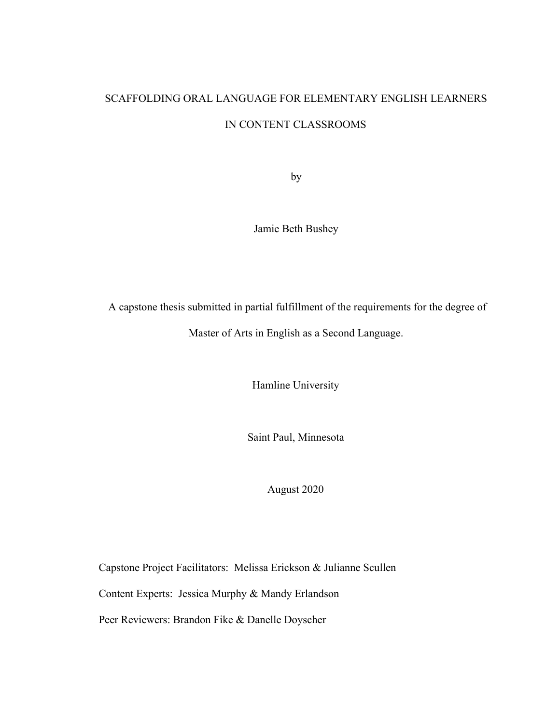# SCAFFOLDING ORAL LANGUAGE FOR ELEMENTARY ENGLISH LEARNERS IN CONTENT CLASSROOMS

by

Jamie Beth Bushey

 A capstone thesis submitted in partial fulfillment of the requirements for the degree of Master of Arts in English as a Second Language.

Hamline University

Saint Paul, Minnesota

August 2020

Capstone Project Facilitators: Melissa Erickson & Julianne Scullen

Content Experts: Jessica Murphy & Mandy Erlandson

Peer Reviewers: Brandon Fike & Danelle Doyscher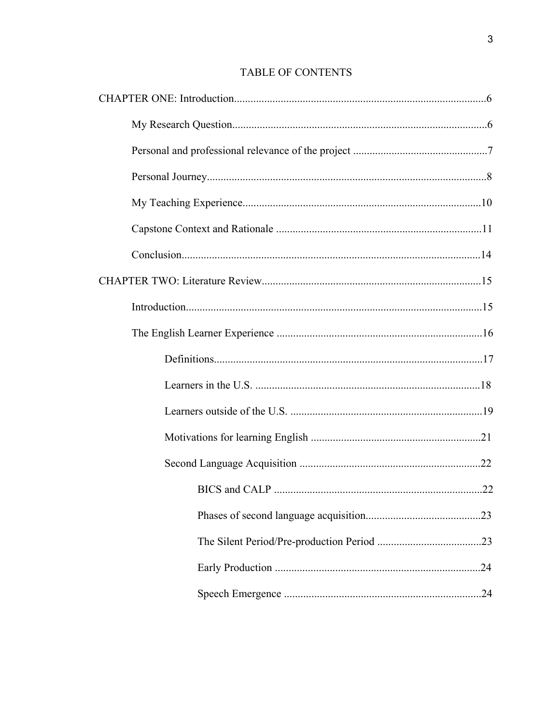# TABLE OF CONTENTS

| .24 |
|-----|
|     |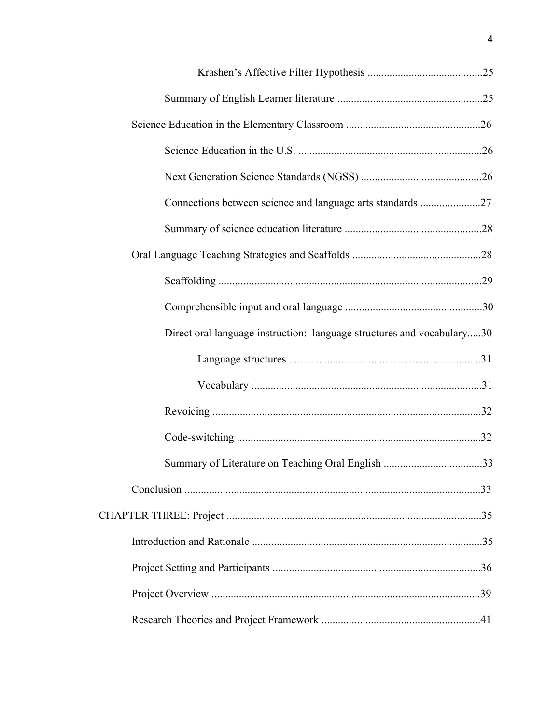| Connections between science and language arts standards 27             |  |
|------------------------------------------------------------------------|--|
|                                                                        |  |
|                                                                        |  |
|                                                                        |  |
|                                                                        |  |
| Direct oral language instruction: language structures and vocabulary30 |  |
|                                                                        |  |
|                                                                        |  |
|                                                                        |  |
|                                                                        |  |
|                                                                        |  |
|                                                                        |  |
|                                                                        |  |
|                                                                        |  |
|                                                                        |  |
|                                                                        |  |
|                                                                        |  |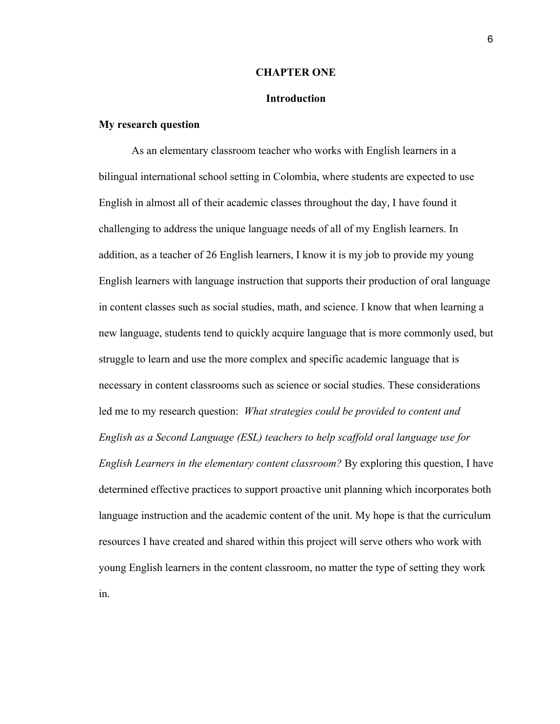#### **CHAPTER ONE**

#### **Introduction**

# **My research question**

As an elementary classroom teacher who works with English learners in a bilingual international school setting in Colombia, where students are expected to use English in almost all of their academic classes throughout the day, I have found it challenging to address the unique language needs of all of my English learners. In addition, as a teacher of 26 English learners, I know it is my job to provide my young English learners with language instruction that supports their production of oral language in content classes such as social studies, math, and science. I know that when learning a new language, students tend to quickly acquire language that is more commonly used, but struggle to learn and use the more complex and specific academic language that is necessary in content classrooms such as science or social studies. These considerations led me to my research question: *What strategies could be provided to content and English as a Second Language (ESL) teachers to help scaffold oral language use for English Learners in the elementary content classroom?* By exploring this question, I have determined effective practices to support proactive unit planning which incorporates both language instruction and the academic content of the unit. My hope is that the curriculum resources I have created and shared within this project will serve others who work with young English learners in the content classroom, no matter the type of setting they work in.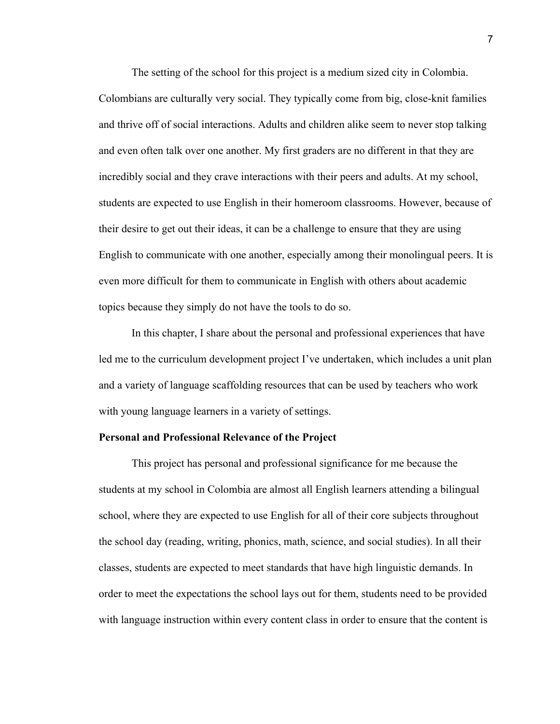The setting of the school for this project is a medium sized city in Colombia. Colombians are culturally very social. They typically come from big, close-knit families and thrive off of social interactions. Adults and children alike seem to never stop talking and even often talk over one another. My first graders are no different in that they are incredibly social and they crave interactions with their peers and adults. At my school, students are expected to use English in their homeroom classrooms. However, because of their desire to get out their ideas, it can be a challenge to ensure that they are using English to communicate with one another, especially among their monolingual peers. It is even more difficult for them to communicate in English with others about academic topics because they simply do not have the tools to do so.

In this chapter, I share about the personal and professional experiences that have led me to the curriculum development project I've undertaken, which includes a unit plan and a variety of language scaffolding resources that can be used by teachers who work with young language learners in a variety of settings.

### **Personal and Professional Relevance of the Project**

This project has personal and professional significance for me because the students at my school in Colombia are almost all English learners attending a bilingual school, where they are expected to use English for all of their core subjects throughout the school day (reading, writing, phonics, math, science, and social studies). In all their classes, students are expected to meet standards that have high linguistic demands. In order to meet the expectations the school lays out for them, students need to be provided with language instruction within every content class in order to ensure that the content is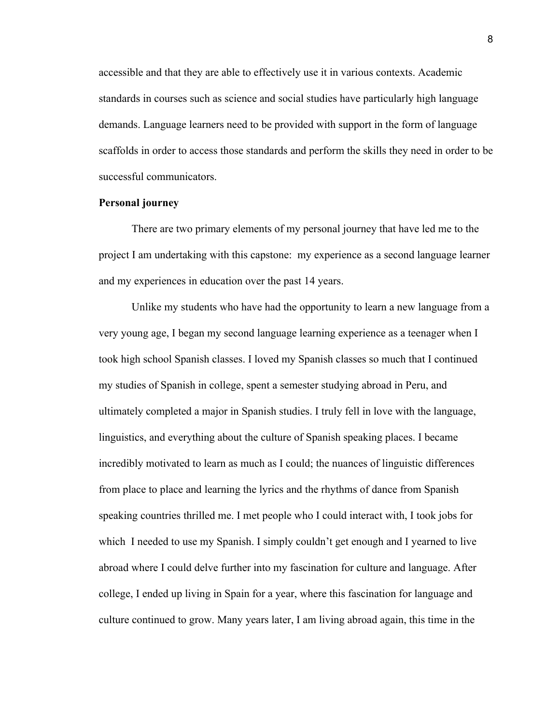accessible and that they are able to effectively use it in various contexts. Academic standards in courses such as science and social studies have particularly high language demands. Language learners need to be provided with support in the form of language scaffolds in order to access those standards and perform the skills they need in order to be successful communicators.

# **Personal journey**

There are two primary elements of my personal journey that have led me to the project I am undertaking with this capstone: my experience as a second language learner and my experiences in education over the past 14 years.

Unlike my students who have had the opportunity to learn a new language from a very young age, I began my second language learning experience as a teenager when I took high school Spanish classes. I loved my Spanish classes so much that I continued my studies of Spanish in college, spent a semester studying abroad in Peru, and ultimately completed a major in Spanish studies. I truly fell in love with the language, linguistics, and everything about the culture of Spanish speaking places. I became incredibly motivated to learn as much as I could; the nuances of linguistic differences from place to place and learning the lyrics and the rhythms of dance from Spanish speaking countries thrilled me. I met people who I could interact with, I took jobs for which I needed to use my Spanish. I simply couldn't get enough and I yearned to live abroad where I could delve further into my fascination for culture and language. After college, I ended up living in Spain for a year, where this fascination for language and culture continued to grow. Many years later, I am living abroad again, this time in the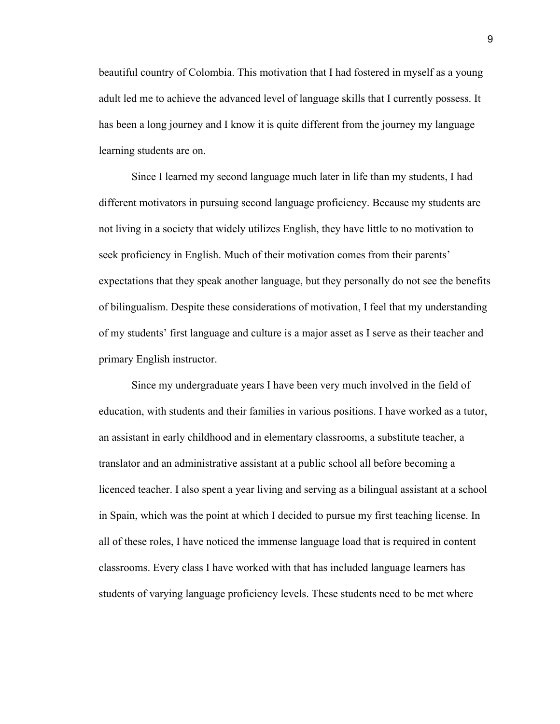beautiful country of Colombia. This motivation that I had fostered in myself as a young adult led me to achieve the advanced level of language skills that I currently possess. It has been a long journey and I know it is quite different from the journey my language learning students are on.

Since I learned my second language much later in life than my students, I had different motivators in pursuing second language proficiency. Because my students are not living in a society that widely utilizes English, they have little to no motivation to seek proficiency in English. Much of their motivation comes from their parents' expectations that they speak another language, but they personally do not see the benefits of bilingualism. Despite these considerations of motivation, I feel that my understanding of my students' first language and culture is a major asset as I serve as their teacher and primary English instructor.

Since my undergraduate years I have been very much involved in the field of education, with students and their families in various positions. I have worked as a tutor, an assistant in early childhood and in elementary classrooms, a substitute teacher, a translator and an administrative assistant at a public school all before becoming a licenced teacher. I also spent a year living and serving as a bilingual assistant at a school in Spain, which was the point at which I decided to pursue my first teaching license. In all of these roles, I have noticed the immense language load that is required in content classrooms. Every class I have worked with that has included language learners has students of varying language proficiency levels. These students need to be met where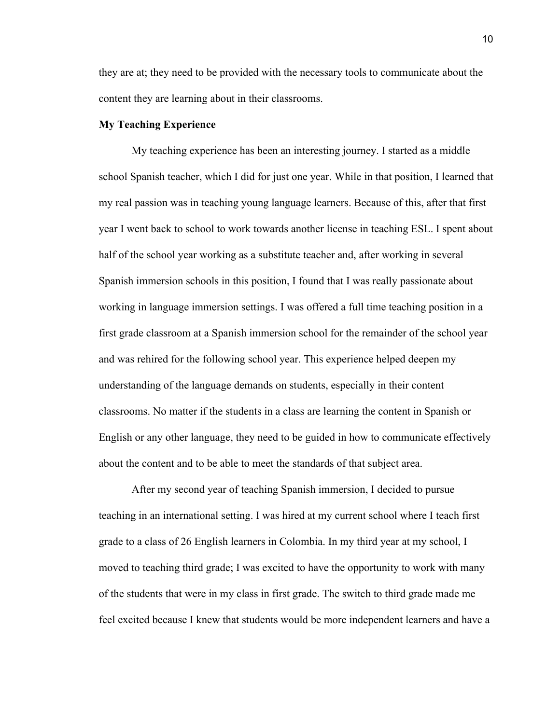they are at; they need to be provided with the necessary tools to communicate about the content they are learning about in their classrooms.

# **My Teaching Experience**

My teaching experience has been an interesting journey. I started as a middle school Spanish teacher, which I did for just one year. While in that position, I learned that my real passion was in teaching young language learners. Because of this, after that first year I went back to school to work towards another license in teaching ESL. I spent about half of the school year working as a substitute teacher and, after working in several Spanish immersion schools in this position, I found that I was really passionate about working in language immersion settings. I was offered a full time teaching position in a first grade classroom at a Spanish immersion school for the remainder of the school year and was rehired for the following school year. This experience helped deepen my understanding of the language demands on students, especially in their content classrooms. No matter if the students in a class are learning the content in Spanish or English or any other language, they need to be guided in how to communicate effectively about the content and to be able to meet the standards of that subject area.

After my second year of teaching Spanish immersion, I decided to pursue teaching in an international setting. I was hired at my current school where I teach first grade to a class of 26 English learners in Colombia. In my third year at my school, I moved to teaching third grade; I was excited to have the opportunity to work with many of the students that were in my class in first grade. The switch to third grade made me feel excited because I knew that students would be more independent learners and have a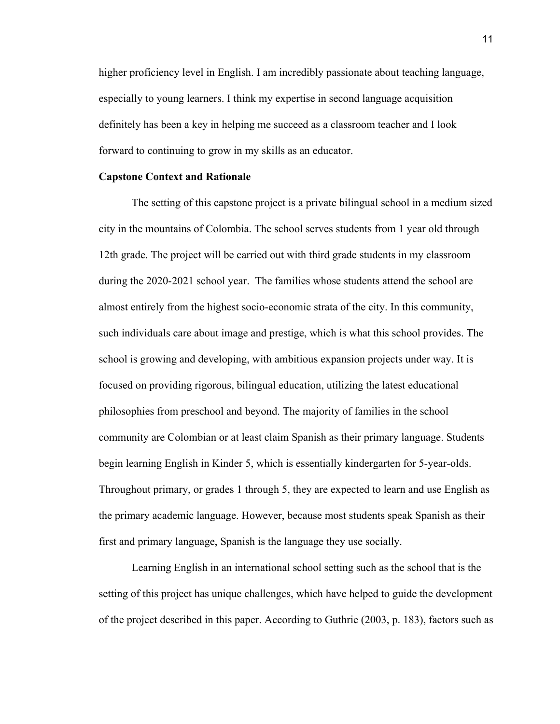higher proficiency level in English. I am incredibly passionate about teaching language, especially to young learners. I think my expertise in second language acquisition definitely has been a key in helping me succeed as a classroom teacher and I look forward to continuing to grow in my skills as an educator.

# **Capstone Context and Rationale**

The setting of this capstone project is a private bilingual school in a medium sized city in the mountains of Colombia. The school serves students from 1 year old through 12th grade. The project will be carried out with third grade students in my classroom during the 2020-2021 school year. The families whose students attend the school are almost entirely from the highest socio-economic strata of the city. In this community, such individuals care about image and prestige, which is what this school provides. The school is growing and developing, with ambitious expansion projects under way. It is focused on providing rigorous, bilingual education, utilizing the latest educational philosophies from preschool and beyond. The majority of families in the school community are Colombian or at least claim Spanish as their primary language. Students begin learning English in Kinder 5, which is essentially kindergarten for 5-year-olds. Throughout primary, or grades 1 through 5, they are expected to learn and use English as the primary academic language. However, because most students speak Spanish as their first and primary language, Spanish is the language they use socially.

Learning English in an international school setting such as the school that is the setting of this project has unique challenges, which have helped to guide the development of the project described in this paper. According to Guthrie (2003, p. 183), factors such as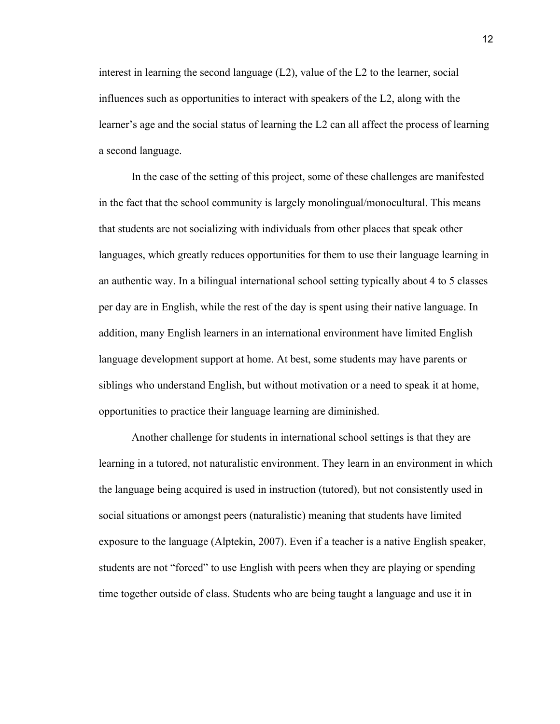interest in learning the second language  $(L2)$ , value of the L2 to the learner, social influences such as opportunities to interact with speakers of the L2, along with the learner's age and the social status of learning the L2 can all affect the process of learning a second language.

In the case of the setting of this project, some of these challenges are manifested in the fact that the school community is largely monolingual/monocultural. This means that students are not socializing with individuals from other places that speak other languages, which greatly reduces opportunities for them to use their language learning in an authentic way. In a bilingual international school setting typically about 4 to 5 classes per day are in English, while the rest of the day is spent using their native language. In addition, many English learners in an international environment have limited English language development support at home. At best, some students may have parents or siblings who understand English, but without motivation or a need to speak it at home, opportunities to practice their language learning are diminished.

Another challenge for students in international school settings is that they are learning in a tutored, not naturalistic environment. They learn in an environment in which the language being acquired is used in instruction (tutored), but not consistently used in social situations or amongst peers (naturalistic) meaning that students have limited exposure to the language (Alptekin, 2007). Even if a teacher is a native English speaker, students are not "forced" to use English with peers when they are playing or spending time together outside of class. Students who are being taught a language and use it in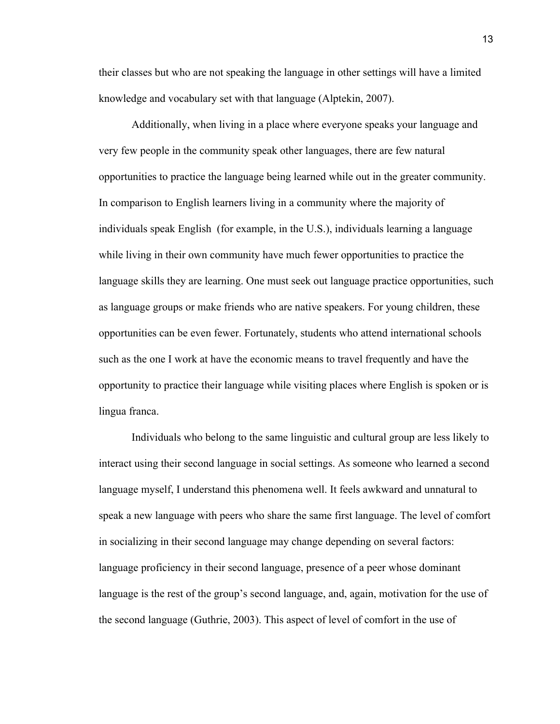their classes but who are not speaking the language in other settings will have a limited knowledge and vocabulary set with that language (Alptekin, 2007).

Additionally, when living in a place where everyone speaks your language and very few people in the community speak other languages, there are few natural opportunities to practice the language being learned while out in the greater community. In comparison to English learners living in a community where the majority of individuals speak English (for example, in the U.S.), individuals learning a language while living in their own community have much fewer opportunities to practice the language skills they are learning. One must seek out language practice opportunities, such as language groups or make friends who are native speakers. For young children, these opportunities can be even fewer. Fortunately, students who attend international schools such as the one I work at have the economic means to travel frequently and have the opportunity to practice their language while visiting places where English is spoken or is lingua franca.

Individuals who belong to the same linguistic and cultural group are less likely to interact using their second language in social settings. As someone who learned a second language myself, I understand this phenomena well. It feels awkward and unnatural to speak a new language with peers who share the same first language. The level of comfort in socializing in their second language may change depending on several factors: language proficiency in their second language, presence of a peer whose dominant language is the rest of the group's second language, and, again, motivation for the use of the second language (Guthrie, 2003). This aspect of level of comfort in the use of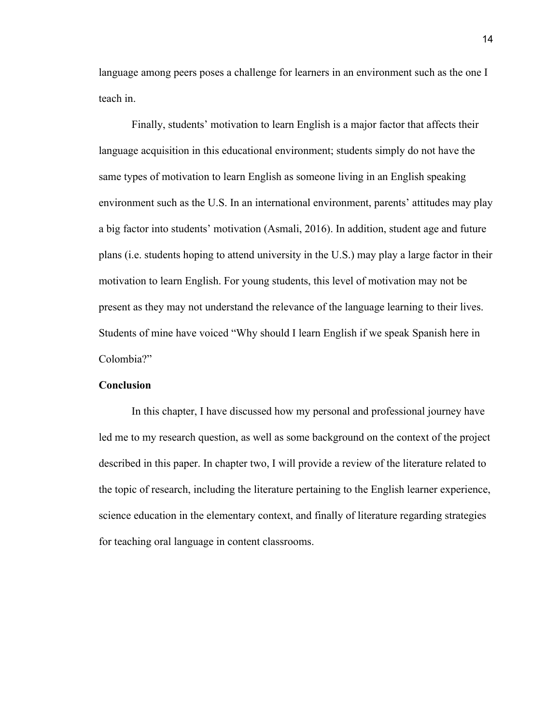language among peers poses a challenge for learners in an environment such as the one I teach in.

Finally, students' motivation to learn English is a major factor that affects their language acquisition in this educational environment; students simply do not have the same types of motivation to learn English as someone living in an English speaking environment such as the U.S. In an international environment, parents' attitudes may play a big factor into students' motivation (Asmali, 2016). In addition, student age and future plans (i.e. students hoping to attend university in the U.S.) may play a large factor in their motivation to learn English. For young students, this level of motivation may not be present as they may not understand the relevance of the language learning to their lives. Students of mine have voiced "Why should I learn English if we speak Spanish here in Colombia?"

#### **Conclusion**

In this chapter, I have discussed how my personal and professional journey have led me to my research question, as well as some background on the context of the project described in this paper. In chapter two, I will provide a review of the literature related to the topic of research, including the literature pertaining to the English learner experience, science education in the elementary context, and finally of literature regarding strategies for teaching oral language in content classrooms.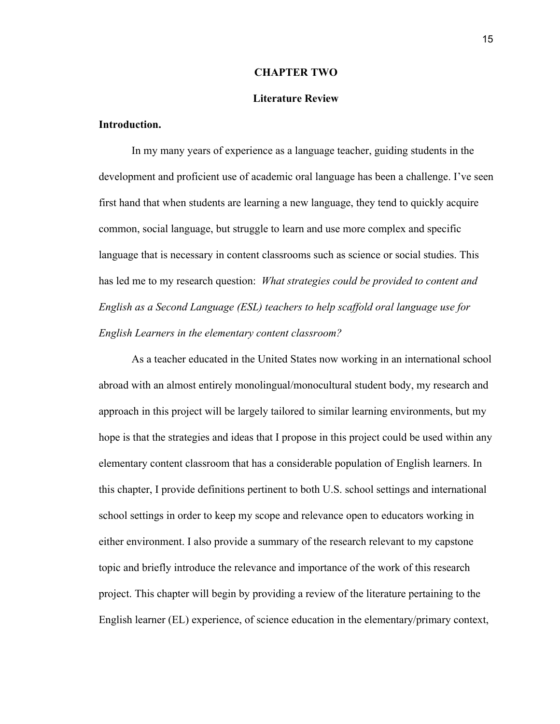#### **CHAPTER TWO**

#### **Literature Review**

#### **Introduction.**

In my many years of experience as a language teacher, guiding students in the development and proficient use of academic oral language has been a challenge. I've seen first hand that when students are learning a new language, they tend to quickly acquire common, social language, but struggle to learn and use more complex and specific language that is necessary in content classrooms such as science or social studies. This has led me to my research question: *What strategies could be provided to content and English as a Second Language (ESL) teachers to help scaffold oral language use for English Learners in the elementary content classroom?*

As a teacher educated in the United States now working in an international school abroad with an almost entirely monolingual/monocultural student body, my research and approach in this project will be largely tailored to similar learning environments, but my hope is that the strategies and ideas that I propose in this project could be used within any elementary content classroom that has a considerable population of English learners. In this chapter, I provide definitions pertinent to both U.S. school settings and international school settings in order to keep my scope and relevance open to educators working in either environment. I also provide a summary of the research relevant to my capstone topic and briefly introduce the relevance and importance of the work of this research project. This chapter will begin by providing a review of the literature pertaining to the English learner (EL) experience, of science education in the elementary/primary context,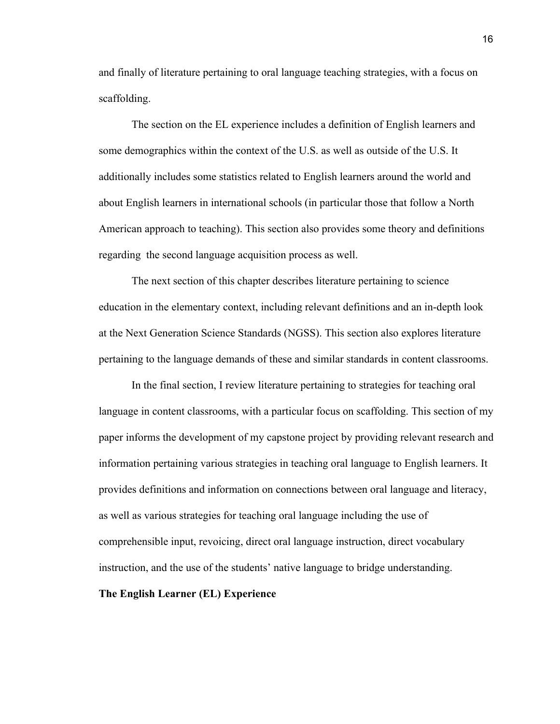and finally of literature pertaining to oral language teaching strategies, with a focus on scaffolding.

The section on the EL experience includes a definition of English learners and some demographics within the context of the U.S. as well as outside of the U.S. It additionally includes some statistics related to English learners around the world and about English learners in international schools (in particular those that follow a North American approach to teaching). This section also provides some theory and definitions regarding the second language acquisition process as well.

The next section of this chapter describes literature pertaining to science education in the elementary context, including relevant definitions and an in-depth look at the Next Generation Science Standards (NGSS). This section also explores literature pertaining to the language demands of these and similar standards in content classrooms.

In the final section, I review literature pertaining to strategies for teaching oral language in content classrooms, with a particular focus on scaffolding. This section of my paper informs the development of my capstone project by providing relevant research and information pertaining various strategies in teaching oral language to English learners. It provides definitions and information on connections between oral language and literacy, as well as various strategies for teaching oral language including the use of comprehensible input, revoicing, direct oral language instruction, direct vocabulary instruction, and the use of the students' native language to bridge understanding.

# **The English Learner (EL) Experience**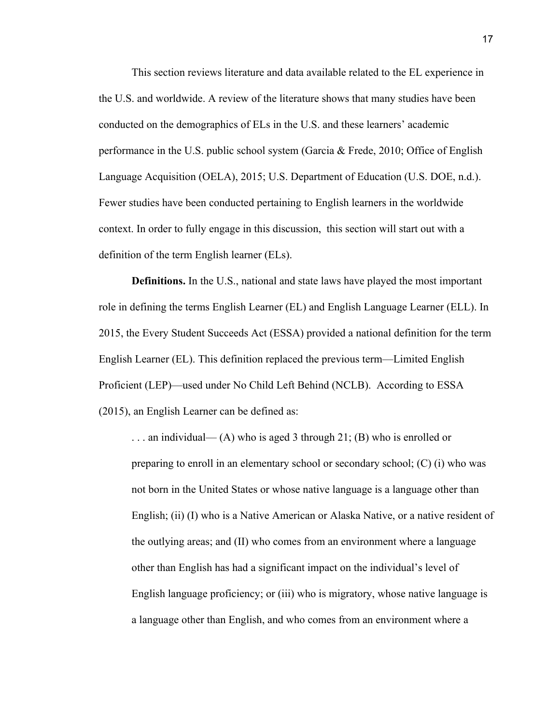This section reviews literature and data available related to the EL experience in the U.S. and worldwide. A review of the literature shows that many studies have been conducted on the demographics of ELs in the U.S. and these learners' academic performance in the U.S. public school system (Garcia & Frede, 2010; Office of English Language Acquisition (OELA), 2015; U.S. Department of Education (U.S. DOE, n.d.). Fewer studies have been conducted pertaining to English learners in the worldwide context. In order to fully engage in this discussion, this section will start out with a definition of the term English learner (ELs).

**Definitions.** In the U.S., national and state laws have played the most important role in defining the terms English Learner (EL) and English Language Learner (ELL). In 2015, the Every Student Succeeds Act (ESSA) provided a national definition for the term English Learner (EL). This definition replaced the previous term—Limited English Proficient (LEP)—used under No Child Left Behind (NCLB). According to ESSA (2015), an English Learner can be defined as:

... an individual— (A) who is aged 3 through 21; (B) who is enrolled or preparing to enroll in an elementary school or secondary school; (C) (i) who was not born in the United States or whose native language is a language other than English; (ii) (I) who is a Native American or Alaska Native, or a native resident of the outlying areas; and (II) who comes from an environment where a language other than English has had a significant impact on the individual's level of English language proficiency; or (iii) who is migratory, whose native language is a language other than English, and who comes from an environment where a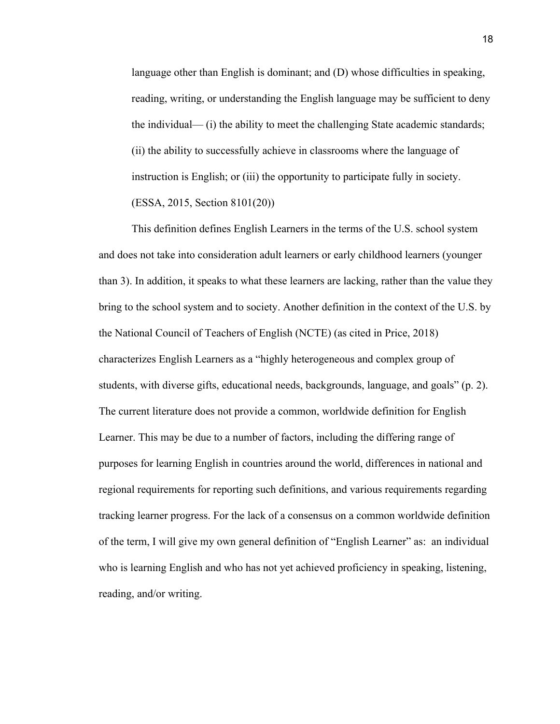language other than English is dominant; and (D) whose difficulties in speaking, reading, writing, or understanding the English language may be sufficient to deny the individual— (i) the ability to meet the challenging State academic standards; (ii) the ability to successfully achieve in classrooms where the language of instruction is English; or (iii) the opportunity to participate fully in society. (ESSA, 2015, Section 8101(20))

This definition defines English Learners in the terms of the U.S. school system and does not take into consideration adult learners or early childhood learners (younger than 3). In addition, it speaks to what these learners are lacking, rather than the value they bring to the school system and to society. Another definition in the context of the U.S. by the National Council of Teachers of English (NCTE) (as cited in Price, 2018) characterizes English Learners as a "highly heterogeneous and complex group of students, with diverse gifts, educational needs, backgrounds, language, and goals" (p. 2). The current literature does not provide a common, worldwide definition for English Learner. This may be due to a number of factors, including the differing range of purposes for learning English in countries around the world, differences in national and regional requirements for reporting such definitions, and various requirements regarding tracking learner progress. For the lack of a consensus on a common worldwide definition of the term, I will give my own general definition of "English Learner" as: an individual who is learning English and who has not yet achieved proficiency in speaking, listening, reading, and/or writing.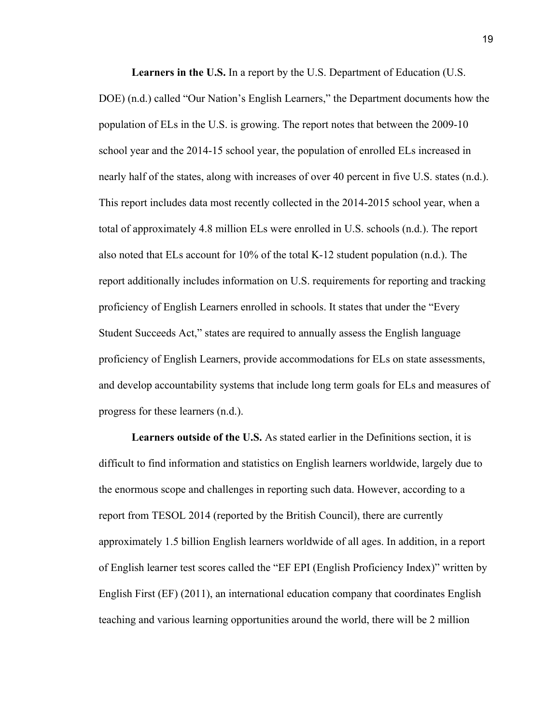**Learners in the U.S.** In a report by the U.S. Department of Education (U.S. DOE) (n.d.) called "Our Nation's English Learners," the Department documents how the population of ELs in the U.S. is growing. The report notes that between the 2009-10 school year and the 2014-15 school year, the population of enrolled ELs increased in nearly half of the states, along with increases of over 40 percent in five U.S. states (n.d.). This report includes data most recently collected in the 2014-2015 school year, when a total of approximately 4.8 million ELs were enrolled in U.S. schools (n.d.). The report also noted that ELs account for 10% of the total K-12 student population (n.d.). The report additionally includes information on U.S. requirements for reporting and tracking proficiency of English Learners enrolled in schools. It states that under the "Every Student Succeeds Act," states are required to annually assess the English language proficiency of English Learners, provide accommodations for ELs on state assessments, and develop accountability systems that include long term goals for ELs and measures of progress for these learners (n.d.).

**Learners outside of the U.S.** As stated earlier in the Definitions section, it is difficult to find information and statistics on English learners worldwide, largely due to the enormous scope and challenges in reporting such data. However, according to a report from TESOL 2014 (reported by the British Council), there are currently approximately 1.5 billion English learners worldwide of all ages. In addition, in a report of English learner test scores called the "EF EPI (English Proficiency Index)" written by English First (EF) (2011), an international education company that coordinates English teaching and various learning opportunities around the world, there will be 2 million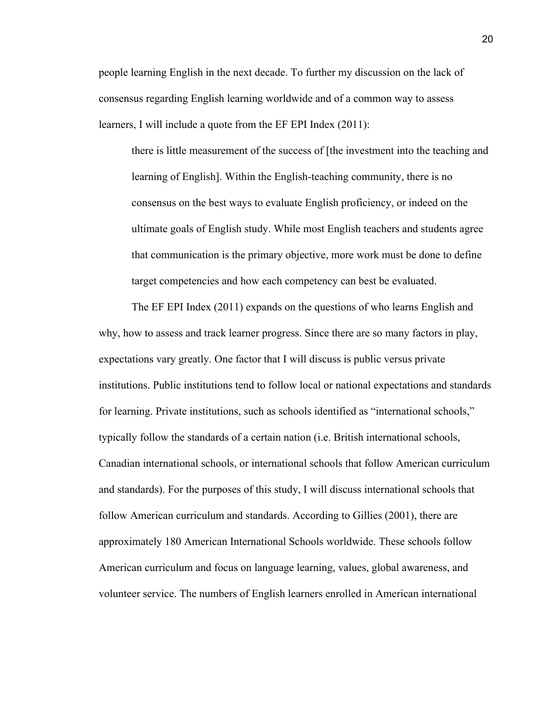people learning English in the next decade. To further my discussion on the lack of consensus regarding English learning worldwide and of a common way to assess learners, I will include a quote from the EF EPI Index (2011):

there is little measurement of the success of [the investment into the teaching and learning of English]. Within the English-teaching community, there is no consensus on the best ways to evaluate English proficiency, or indeed on the ultimate goals of English study. While most English teachers and students agree that communication is the primary objective, more work must be done to define target competencies and how each competency can best be evaluated.

The EF EPI Index (2011) expands on the questions of who learns English and why, how to assess and track learner progress. Since there are so many factors in play, expectations vary greatly. One factor that I will discuss is public versus private institutions. Public institutions tend to follow local or national expectations and standards for learning. Private institutions, such as schools identified as "international schools," typically follow the standards of a certain nation (i.e. British international schools, Canadian international schools, or international schools that follow American curriculum and standards). For the purposes of this study, I will discuss international schools that follow American curriculum and standards. According to Gillies (2001), there are approximately 180 American International Schools worldwide. These schools follow American curriculum and focus on language learning, values, global awareness, and volunteer service. The numbers of English learners enrolled in American international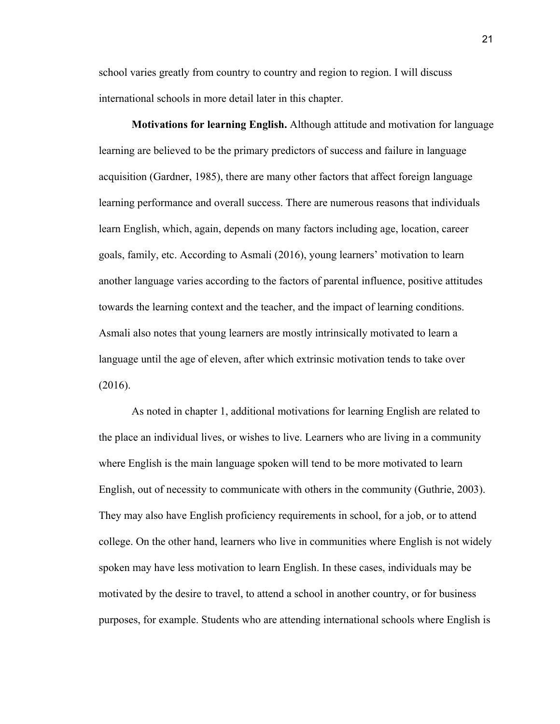school varies greatly from country to country and region to region. I will discuss international schools in more detail later in this chapter.

**Motivations for learning English.** Although attitude and motivation for language learning are believed to be the primary predictors of success and failure in language acquisition (Gardner, 1985), there are many other factors that affect foreign language learning performance and overall success. There are numerous reasons that individuals learn English, which, again, depends on many factors including age, location, career goals, family, etc. According to Asmali (2016), young learners' motivation to learn another language varies according to the factors of parental influence, positive attitudes towards the learning context and the teacher, and the impact of learning conditions. Asmali also notes that young learners are mostly intrinsically motivated to learn a language until the age of eleven, after which extrinsic motivation tends to take over (2016).

As noted in chapter 1, additional motivations for learning English are related to the place an individual lives, or wishes to live. Learners who are living in a community where English is the main language spoken will tend to be more motivated to learn English, out of necessity to communicate with others in the community (Guthrie, 2003). They may also have English proficiency requirements in school, for a job, or to attend college. On the other hand, learners who live in communities where English is not widely spoken may have less motivation to learn English. In these cases, individuals may be motivated by the desire to travel, to attend a school in another country, or for business purposes, for example. Students who are attending international schools where English is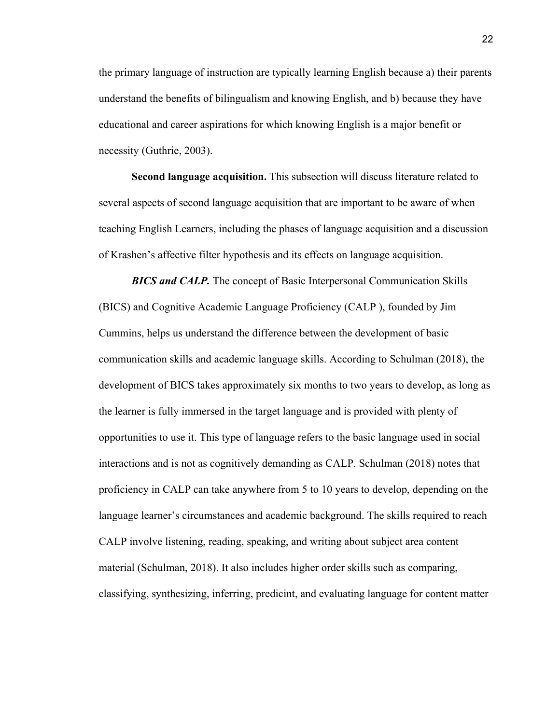the primary language of instruction are typically learning English because a) their parents understand the benefits of bilingualism and knowing English, and b) because they have educational and career aspirations for which knowing English is a major benefit or necessity (Guthrie, 2003).

**Second language acquisition.** This subsection will discuss literature related to several aspects of second language acquisition that are important to be aware of when teaching English Learners, including the phases of language acquisition and a discussion of Krashen's affective filter hypothesis and its effects on language acquisition.

*BICS and CALP.* The concept of Basic Interpersonal Communication Skills (BICS) and Cognitive Academic Language Proficiency (CALP ), founded by Jim Cummins, helps us understand the difference between the development of basic communication skills and academic language skills. According to Schulman (2018), the development of BICS takes approximately six months to two years to develop, as long as the learner is fully immersed in the target language and is provided with plenty of opportunities to use it. This type of language refers to the basic language used in social interactions and is not as cognitively demanding as CALP. Schulman (2018) notes that proficiency in CALP can take anywhere from 5 to 10 years to develop, depending on the language learner's circumstances and academic background. The skills required to reach CALP involve listening, reading, speaking, and writing about subject area content material (Schulman, 2018). It also includes higher order skills such as comparing, classifying, synthesizing, inferring, predicint, and evaluating language for content matter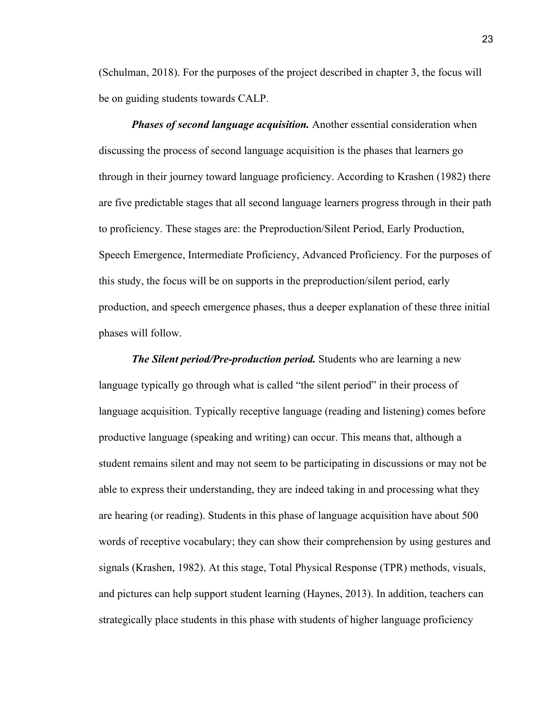(Schulman, 2018). For the purposes of the project described in chapter 3, the focus will be on guiding students towards CALP.

*Phases of second language acquisition.* Another essential consideration when discussing the process of second language acquisition is the phases that learners go through in their journey toward language proficiency. According to Krashen (1982) there are five predictable stages that all second language learners progress through in their path to proficiency. These stages are: the Preproduction/Silent Period, Early Production, Speech Emergence, Intermediate Proficiency, Advanced Proficiency. For the purposes of this study, the focus will be on supports in the preproduction/silent period, early production, and speech emergence phases, thus a deeper explanation of these three initial phases will follow.

*The Silent period/Pre-production period.* Students who are learning a new language typically go through what is called "the silent period" in their process of language acquisition. Typically receptive language (reading and listening) comes before productive language (speaking and writing) can occur. This means that, although a student remains silent and may not seem to be participating in discussions or may not be able to express their understanding, they are indeed taking in and processing what they are hearing (or reading). Students in this phase of language acquisition have about 500 words of receptive vocabulary; they can show their comprehension by using gestures and signals (Krashen, 1982). At this stage, Total Physical Response (TPR) methods, visuals, and pictures can help support student learning (Haynes, 2013). In addition, teachers can strategically place students in this phase with students of higher language proficiency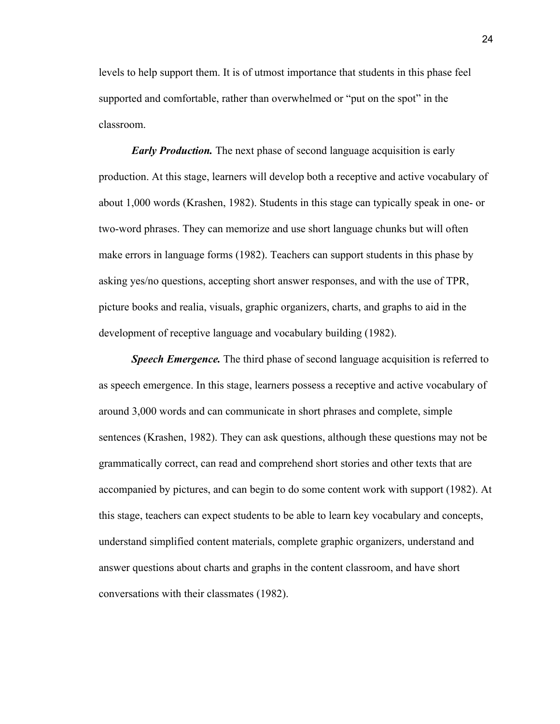levels to help support them. It is of utmost importance that students in this phase feel supported and comfortable, rather than overwhelmed or "put on the spot" in the classroom.

*Early Production.* The next phase of second language acquisition is early production. At this stage, learners will develop both a receptive and active vocabulary of about 1,000 words (Krashen, 1982). Students in this stage can typically speak in one- or two-word phrases. They can memorize and use short language chunks but will often make errors in language forms (1982). Teachers can support students in this phase by asking yes/no questions, accepting short answer responses, and with the use of TPR, picture books and realia, visuals, graphic organizers, charts, and graphs to aid in the development of receptive language and vocabulary building (1982).

*Speech Emergence.* The third phase of second language acquisition is referred to as speech emergence. In this stage, learners possess a receptive and active vocabulary of around 3,000 words and can communicate in short phrases and complete, simple sentences (Krashen, 1982). They can ask questions, although these questions may not be grammatically correct, can read and comprehend short stories and other texts that are accompanied by pictures, and can begin to do some content work with support (1982). At this stage, teachers can expect students to be able to learn key vocabulary and concepts, understand simplified content materials, complete graphic organizers, understand and answer questions about charts and graphs in the content classroom, and have short conversations with their classmates (1982).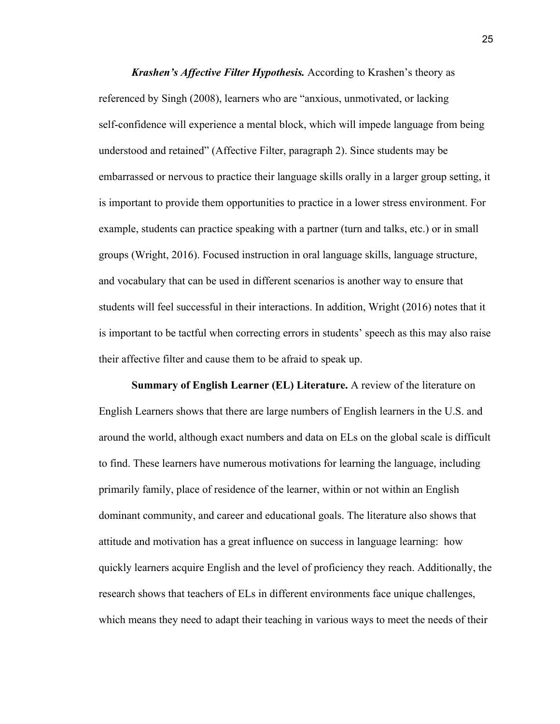*Krashen's Affective Filter Hypothesis.* According to Krashen's theory as referenced by Singh (2008), learners who are "anxious, unmotivated, or lacking self-confidence will experience a mental block, which will impede language from being understood and retained" (Affective Filter, paragraph 2). Since students may be embarrassed or nervous to practice their language skills orally in a larger group setting, it is important to provide them opportunities to practice in a lower stress environment. For example, students can practice speaking with a partner (turn and talks, etc.) or in small groups (Wright, 2016). Focused instruction in oral language skills, language structure, and vocabulary that can be used in different scenarios is another way to ensure that students will feel successful in their interactions. In addition, Wright (2016) notes that it is important to be tactful when correcting errors in students' speech as this may also raise their affective filter and cause them to be afraid to speak up.

**Summary of English Learner (EL) Literature.** A review of the literature on English Learners shows that there are large numbers of English learners in the U.S. and around the world, although exact numbers and data on ELs on the global scale is difficult to find. These learners have numerous motivations for learning the language, including primarily family, place of residence of the learner, within or not within an English dominant community, and career and educational goals. The literature also shows that attitude and motivation has a great influence on success in language learning: how quickly learners acquire English and the level of proficiency they reach. Additionally, the research shows that teachers of ELs in different environments face unique challenges, which means they need to adapt their teaching in various ways to meet the needs of their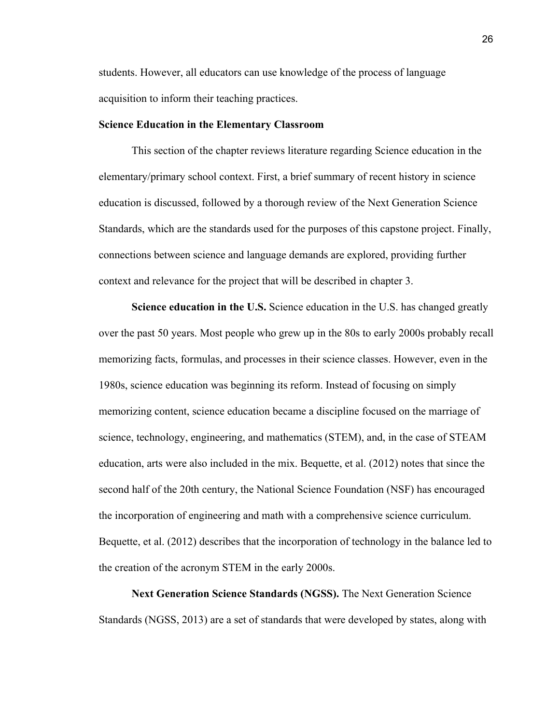students. However, all educators can use knowledge of the process of language acquisition to inform their teaching practices.

#### **Science Education in the Elementary Classroom**

This section of the chapter reviews literature regarding Science education in the elementary/primary school context. First, a brief summary of recent history in science education is discussed, followed by a thorough review of the Next Generation Science Standards, which are the standards used for the purposes of this capstone project. Finally, connections between science and language demands are explored, providing further context and relevance for the project that will be described in chapter 3.

**Science education in the U.S.** Science education in the U.S. has changed greatly over the past 50 years. Most people who grew up in the 80s to early 2000s probably recall memorizing facts, formulas, and processes in their science classes. However, even in the 1980s, science education was beginning its reform. Instead of focusing on simply memorizing content, science education became a discipline focused on the marriage of science, technology, engineering, and mathematics (STEM), and, in the case of STEAM education, arts were also included in the mix. Bequette, et al. (2012) notes that since the second half of the 20th century, the National Science Foundation (NSF) has encouraged the incorporation of engineering and math with a comprehensive science curriculum. Bequette, et al. (2012) describes that the incorporation of technology in the balance led to the creation of the acronym STEM in the early 2000s.

**Next Generation Science Standards (NGSS).** The Next Generation Science Standards (NGSS, 2013) are a set of standards that were developed by states, along with

26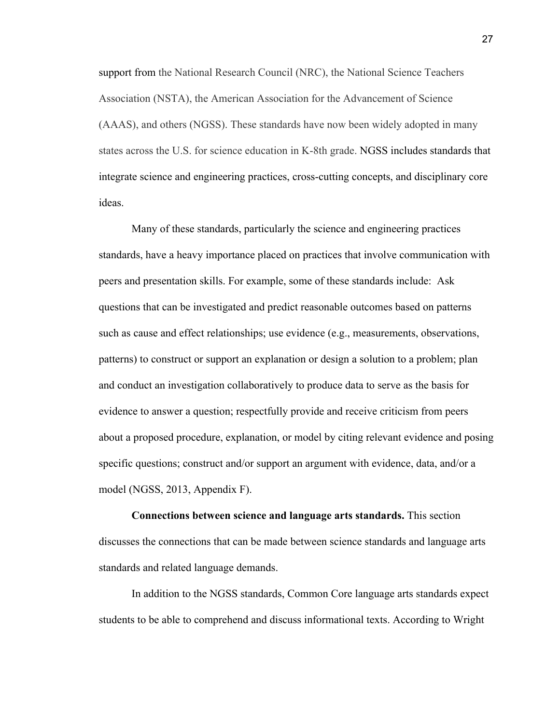support from the National Research Council (NRC), the National Science Teachers Association (NSTA), the American Association for the Advancement of Science (AAAS), and others (NGSS). These standards have now been widely adopted in many states across the U.S. for science education in K-8th grade. NGSS includes standards that integrate science and engineering practices, cross-cutting concepts, and disciplinary core ideas.

Many of these standards, particularly the science and engineering practices standards, have a heavy importance placed on practices that involve communication with peers and presentation skills. For example, some of these standards include: Ask questions that can be investigated and predict reasonable outcomes based on patterns such as cause and effect relationships; use evidence (e.g., measurements, observations, patterns) to construct or support an explanation or design a solution to a problem; plan and conduct an investigation collaboratively to produce data to serve as the basis for evidence to answer a question; respectfully provide and receive criticism from peers about a proposed procedure, explanation, or model by citing relevant evidence and posing specific questions; construct and/or support an argument with evidence, data, and/or a model (NGSS, 2013, Appendix F).

**Connections between science and language arts standards.** This section discusses the connections that can be made between science standards and language arts standards and related language demands.

In addition to the NGSS standards, Common Core language arts standards expect students to be able to comprehend and discuss informational texts. According to Wright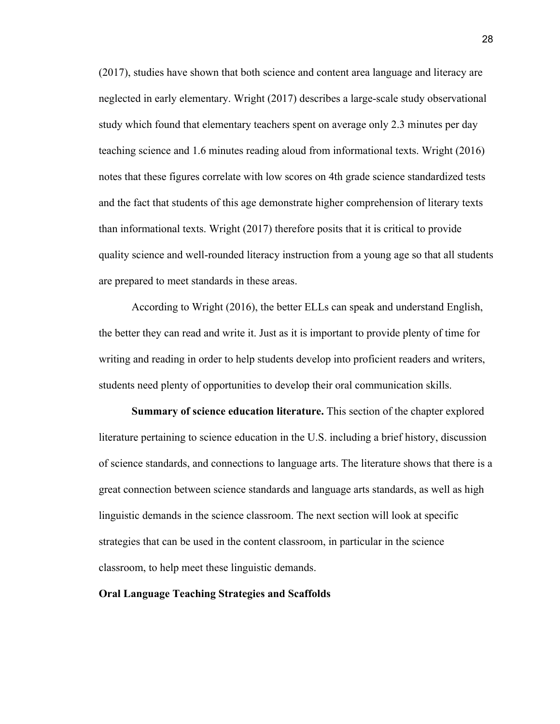(2017), studies have shown that both science and content area language and literacy are neglected in early elementary. Wright (2017) describes a large-scale study observational study which found that elementary teachers spent on average only 2.3 minutes per day teaching science and 1.6 minutes reading aloud from informational texts. Wright (2016) notes that these figures correlate with low scores on 4th grade science standardized tests and the fact that students of this age demonstrate higher comprehension of literary texts than informational texts. Wright (2017) therefore posits that it is critical to provide quality science and well-rounded literacy instruction from a young age so that all students are prepared to meet standards in these areas.

According to Wright (2016), the better ELLs can speak and understand English, the better they can read and write it. Just as it is important to provide plenty of time for writing and reading in order to help students develop into proficient readers and writers, students need plenty of opportunities to develop their oral communication skills.

**Summary of science education literature.** This section of the chapter explored literature pertaining to science education in the U.S. including a brief history, discussion of science standards, and connections to language arts. The literature shows that there is a great connection between science standards and language arts standards, as well as high linguistic demands in the science classroom. The next section will look at specific strategies that can be used in the content classroom, in particular in the science classroom, to help meet these linguistic demands.

# **Oral Language Teaching Strategies and Scaffolds**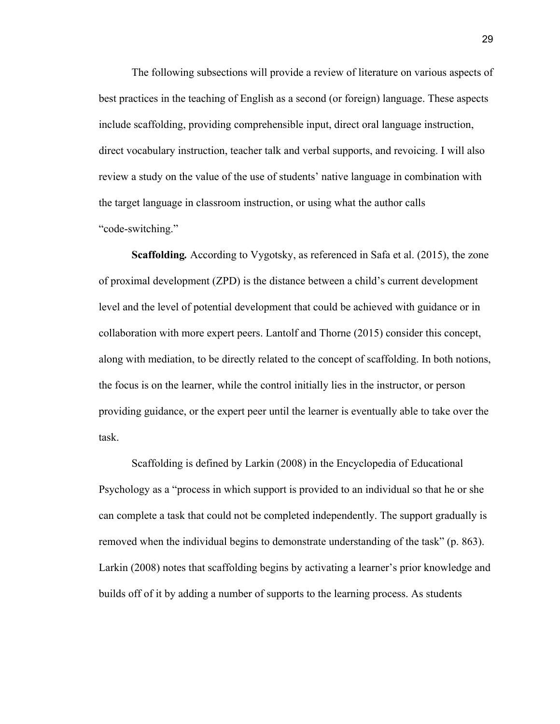The following subsections will provide a review of literature on various aspects of best practices in the teaching of English as a second (or foreign) language. These aspects include scaffolding, providing comprehensible input, direct oral language instruction, direct vocabulary instruction, teacher talk and verbal supports, and revoicing. I will also review a study on the value of the use of students' native language in combination with the target language in classroom instruction, or using what the author calls "code-switching."

**Scaffolding***.* According to Vygotsky, as referenced in Safa et al. (2015), the zone of proximal development (ZPD) is the distance between a child's current development level and the level of potential development that could be achieved with guidance or in collaboration with more expert peers. Lantolf and Thorne (2015) consider this concept, along with mediation, to be directly related to the concept of scaffolding. In both notions, the focus is on the learner, while the control initially lies in the instructor, or person providing guidance, or the expert peer until the learner is eventually able to take over the task.

Scaffolding is defined by Larkin (2008) in the Encyclopedia of Educational Psychology as a "process in which support is provided to an individual so that he or she can complete a task that could not be completed independently. The support gradually is removed when the individual begins to demonstrate understanding of the task" (p. 863). Larkin (2008) notes that scaffolding begins by activating a learner's prior knowledge and builds off of it by adding a number of supports to the learning process. As students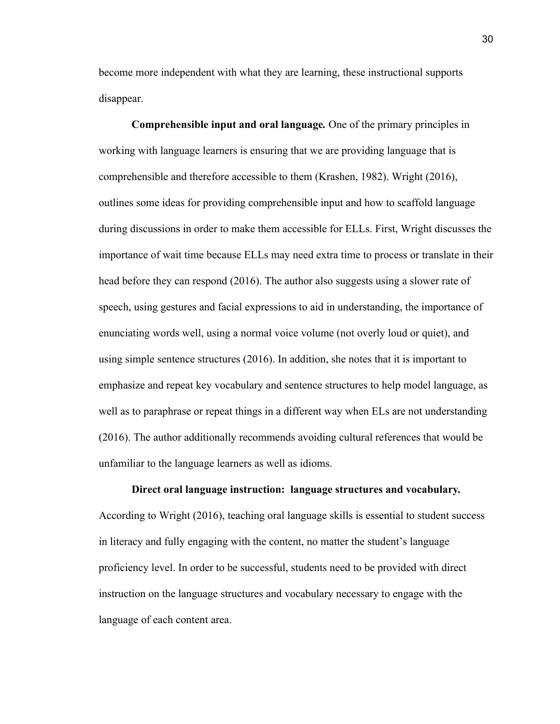become more independent with what they are learning, these instructional supports disappear.

**Comprehensible input and oral language***.* One of the primary principles in working with language learners is ensuring that we are providing language that is comprehensible and therefore accessible to them (Krashen, 1982). Wright (2016), outlines some ideas for providing comprehensible input and how to scaffold language during discussions in order to make them accessible for ELLs. First, Wright discusses the importance of wait time because ELLs may need extra time to process or translate in their head before they can respond (2016). The author also suggests using a slower rate of speech, using gestures and facial expressions to aid in understanding, the importance of enunciating words well, using a normal voice volume (not overly loud or quiet), and using simple sentence structures (2016). In addition, she notes that it is important to emphasize and repeat key vocabulary and sentence structures to help model language, as well as to paraphrase or repeat things in a different way when ELs are not understanding (2016). The author additionally recommends avoiding cultural references that would be unfamiliar to the language learners as well as idioms.

#### **Direct oral language instruction: language structures and vocabulary***.*

According to Wright (2016), teaching oral language skills is essential to student success in literacy and fully engaging with the content, no matter the student's language proficiency level. In order to be successful, students need to be provided with direct instruction on the language structures and vocabulary necessary to engage with the language of each content area.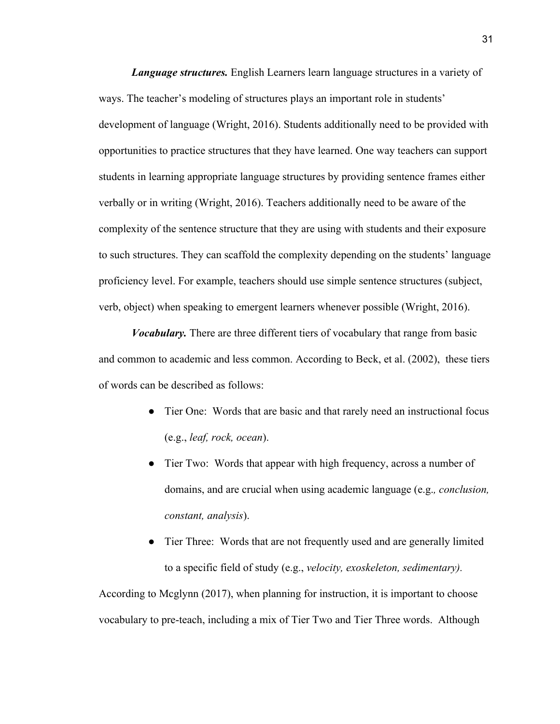*Language structures.* English Learners learn language structures in a variety of ways. The teacher's modeling of structures plays an important role in students' development of language (Wright, 2016). Students additionally need to be provided with opportunities to practice structures that they have learned. One way teachers can support students in learning appropriate language structures by providing sentence frames either verbally or in writing (Wright, 2016). Teachers additionally need to be aware of the complexity of the sentence structure that they are using with students and their exposure to such structures. They can scaffold the complexity depending on the students' language proficiency level. For example, teachers should use simple sentence structures (subject, verb, object) when speaking to emergent learners whenever possible (Wright, 2016).

*Vocabulary.* There are three different tiers of vocabulary that range from basic and common to academic and less common. According to Beck, et al. (2002), these tiers of words can be described as follows:

- Tier One: Words that are basic and that rarely need an instructional focus (e.g., *leaf, rock, ocean*).
- Tier Two: Words that appear with high frequency, across a number of domains, and are crucial when using academic language (e.g.*, conclusion, constant, analysis*).
- Tier Three: Words that are not frequently used and are generally limited to a specific field of study (e.g., *velocity, exoskeleton, sedimentary).*

According to Mcglynn (2017), when planning for instruction, it is important to choose vocabulary to pre-teach, including a mix of Tier Two and Tier Three words. Although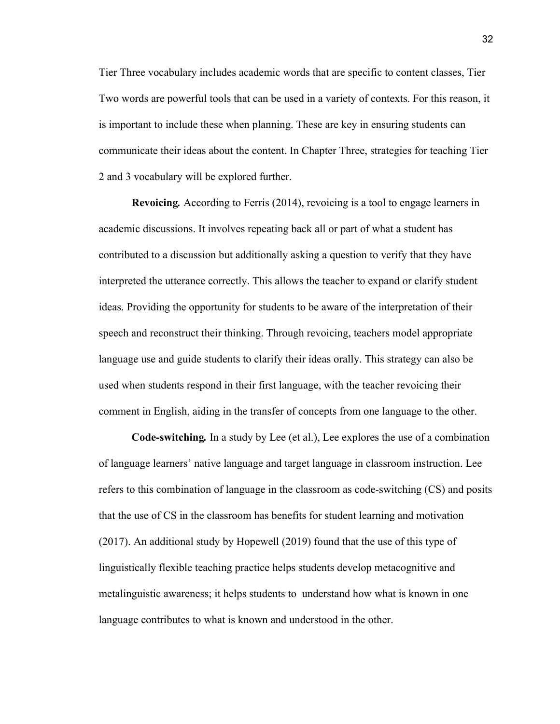Tier Three vocabulary includes academic words that are specific to content classes, Tier Two words are powerful tools that can be used in a variety of contexts. For this reason, it is important to include these when planning. These are key in ensuring students can communicate their ideas about the content. In Chapter Three, strategies for teaching Tier 2 and 3 vocabulary will be explored further.

**Revoicing***.* According to Ferris (2014), revoicing is a tool to engage learners in academic discussions. It involves repeating back all or part of what a student has contributed to a discussion but additionally asking a question to verify that they have interpreted the utterance correctly. This allows the teacher to expand or clarify student ideas. Providing the opportunity for students to be aware of the interpretation of their speech and reconstruct their thinking. Through revoicing, teachers model appropriate language use and guide students to clarify their ideas orally. This strategy can also be used when students respond in their first language, with the teacher revoicing their comment in English, aiding in the transfer of concepts from one language to the other.

**Code-switching***.* In a study by Lee (et al.), Lee explores the use of a combination of language learners' native language and target language in classroom instruction. Lee refers to this combination of language in the classroom as code-switching (CS) and posits that the use of CS in the classroom has benefits for student learning and motivation (2017). An additional study by Hopewell (2019) found that the use of this type of linguistically flexible teaching practice helps students develop metacognitive and metalinguistic awareness; it helps students to understand how what is known in one language contributes to what is known and understood in the other.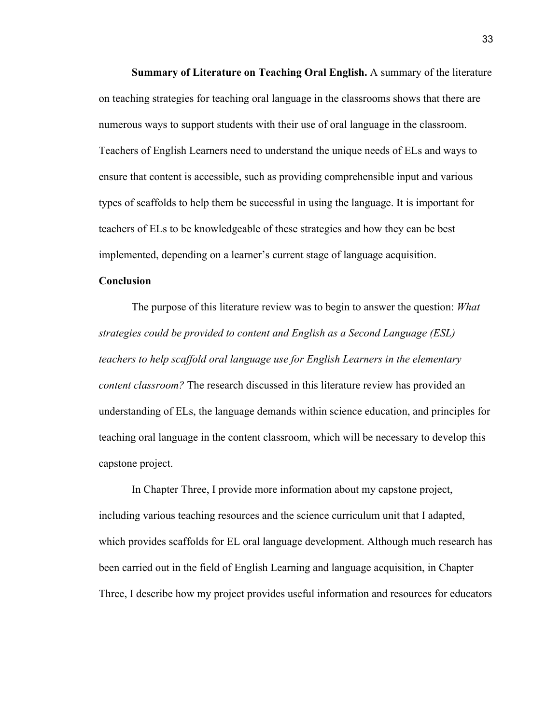**Summary of Literature on Teaching Oral English.** A summary of the literature on teaching strategies for teaching oral language in the classrooms shows that there are numerous ways to support students with their use of oral language in the classroom. Teachers of English Learners need to understand the unique needs of ELs and ways to ensure that content is accessible, such as providing comprehensible input and various types of scaffolds to help them be successful in using the language. It is important for teachers of ELs to be knowledgeable of these strategies and how they can be best implemented, depending on a learner's current stage of language acquisition.

#### **Conclusion**

The purpose of this literature review was to begin to answer the question: *What strategies could be provided to content and English as a Second Language (ESL) teachers to help scaffold oral language use for English Learners in the elementary content classroom?* The research discussed in this literature review has provided an understanding of ELs, the language demands within science education, and principles for teaching oral language in the content classroom, which will be necessary to develop this capstone project.

In Chapter Three, I provide more information about my capstone project, including various teaching resources and the science curriculum unit that I adapted, which provides scaffolds for EL oral language development. Although much research has been carried out in the field of English Learning and language acquisition, in Chapter Three, I describe how my project provides useful information and resources for educators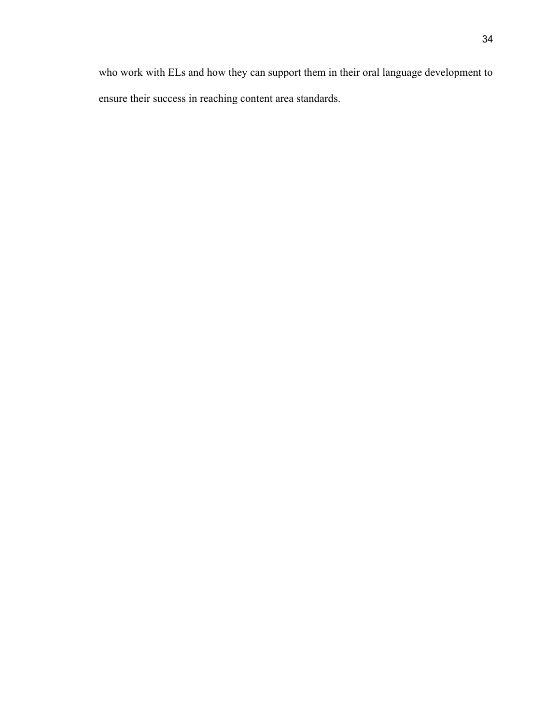who work with ELs and how they can support them in their oral language development to ensure their success in reaching content area standards.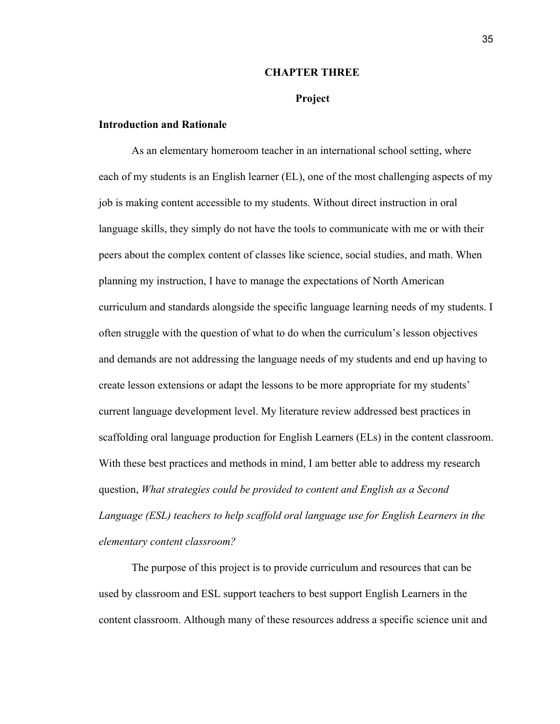#### **CHAPTER THREE**

#### **Project**

#### **Introduction and Rationale**

As an elementary homeroom teacher in an international school setting, where each of my students is an English learner (EL), one of the most challenging aspects of my job is making content accessible to my students. Without direct instruction in oral language skills, they simply do not have the tools to communicate with me or with their peers about the complex content of classes like science, social studies, and math. When planning my instruction, I have to manage the expectations of North American curriculum and standards alongside the specific language learning needs of my students. I often struggle with the question of what to do when the curriculum's lesson objectives and demands are not addressing the language needs of my students and end up having to create lesson extensions or adapt the lessons to be more appropriate for my students' current language development level. My literature review addressed best practices in scaffolding oral language production for English Learners (ELs) in the content classroom. With these best practices and methods in mind, I am better able to address my research question, *What strategies could be provided to content and English as a Second Language (ESL) teachers to help scaffold oral language use for English Learners in the elementary content classroom?*

The purpose of this project is to provide curriculum and resources that can be used by classroom and ESL support teachers to best support English Learners in the content classroom. Although many of these resources address a specific science unit and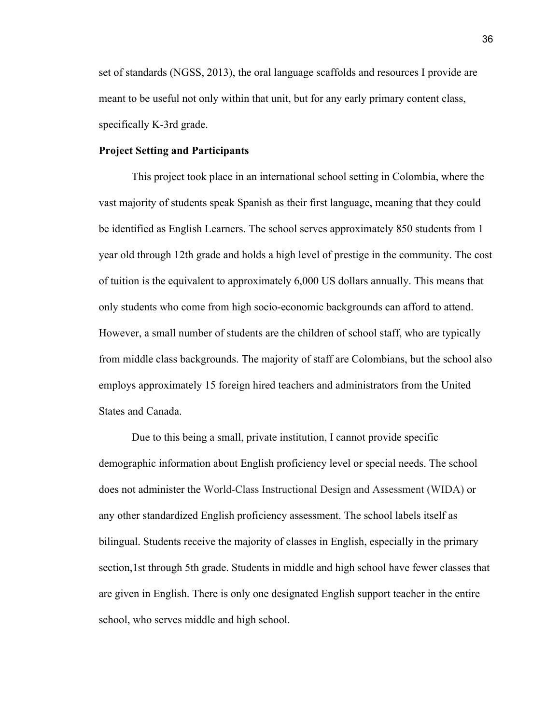set of standards (NGSS, 2013), the oral language scaffolds and resources I provide are meant to be useful not only within that unit, but for any early primary content class, specifically K-3rd grade.

# **Project Setting and Participants**

This project took place in an international school setting in Colombia, where the vast majority of students speak Spanish as their first language, meaning that they could be identified as English Learners. The school serves approximately 850 students from 1 year old through 12th grade and holds a high level of prestige in the community. The cost of tuition is the equivalent to approximately 6,000 US dollars annually. This means that only students who come from high socio-economic backgrounds can afford to attend. However, a small number of students are the children of school staff, who are typically from middle class backgrounds. The majority of staff are Colombians, but the school also employs approximately 15 foreign hired teachers and administrators from the United States and Canada.

Due to this being a small, private institution, I cannot provide specific demographic information about English proficiency level or special needs. The school does not administer the World-Class Instructional Design and Assessment (WIDA) or any other standardized English proficiency assessment. The school labels itself as bilingual. Students receive the majority of classes in English, especially in the primary section, 1st through 5th grade. Students in middle and high school have fewer classes that are given in English. There is only one designated English support teacher in the entire school, who serves middle and high school.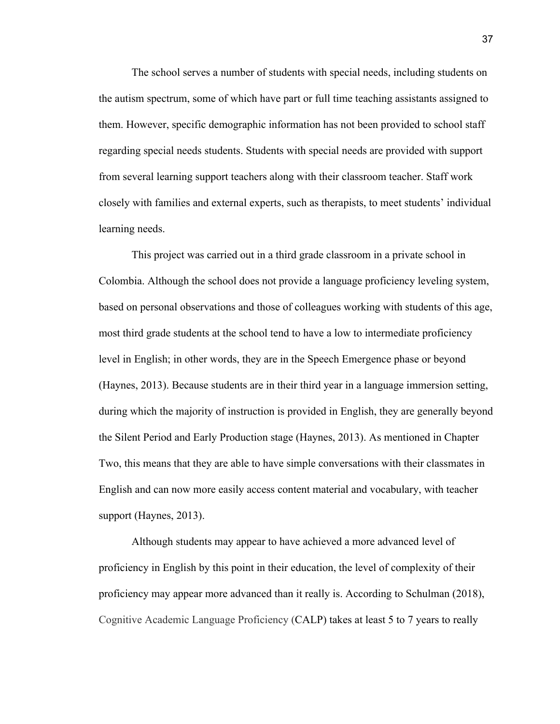The school serves a number of students with special needs, including students on the autism spectrum, some of which have part or full time teaching assistants assigned to them. However, specific demographic information has not been provided to school staff regarding special needs students. Students with special needs are provided with support from several learning support teachers along with their classroom teacher. Staff work closely with families and external experts, such as therapists, to meet students' individual learning needs.

This project was carried out in a third grade classroom in a private school in Colombia. Although the school does not provide a language proficiency leveling system, based on personal observations and those of colleagues working with students of this age, most third grade students at the school tend to have a low to intermediate proficiency level in English; in other words, they are in the Speech Emergence phase or beyond (Haynes, 2013). Because students are in their third year in a language immersion setting, during which the majority of instruction is provided in English, they are generally beyond the Silent Period and Early Production stage (Haynes, 2013). As mentioned in Chapter Two, this means that they are able to have simple conversations with their classmates in English and can now more easily access content material and vocabulary, with teacher support (Haynes, 2013).

Although students may appear to have achieved a more advanced level of proficiency in English by this point in their education, the level of complexity of their proficiency may appear more advanced than it really is. According to Schulman (2018), Cognitive Academic Language Proficiency (CALP) takes at least 5 to 7 years to really

37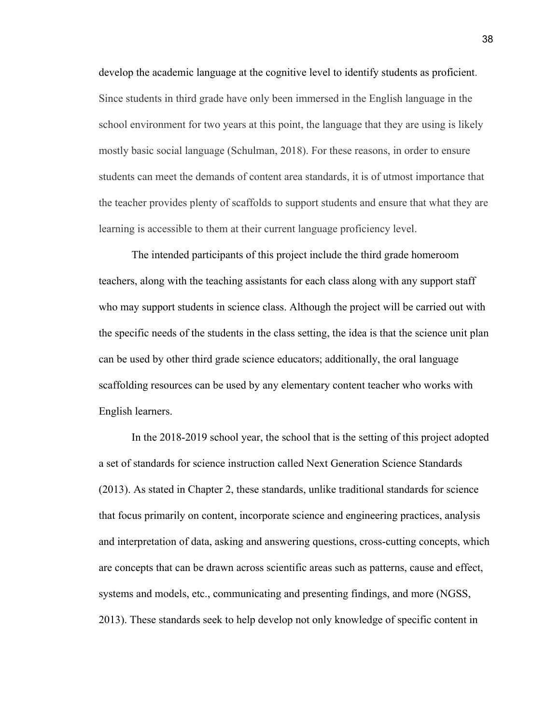develop the academic language at the cognitive level to identify students as proficient. Since students in third grade have only been immersed in the English language in the school environment for two years at this point, the language that they are using is likely mostly basic social language (Schulman, 2018). For these reasons, in order to ensure students can meet the demands of content area standards, it is of utmost importance that the teacher provides plenty of scaffolds to support students and ensure that what they are learning is accessible to them at their current language proficiency level.

The intended participants of this project include the third grade homeroom teachers, along with the teaching assistants for each class along with any support staff who may support students in science class. Although the project will be carried out with the specific needs of the students in the class setting, the idea is that the science unit plan can be used by other third grade science educators; additionally, the oral language scaffolding resources can be used by any elementary content teacher who works with English learners.

In the 2018-2019 school year, the school that is the setting of this project adopted a set of standards for science instruction called Next Generation Science Standards (2013). As stated in Chapter 2, these standards, unlike traditional standards for science that focus primarily on content, incorporate science and engineering practices, analysis and interpretation of data, asking and answering questions, cross-cutting concepts, which are concepts that can be drawn across scientific areas such as patterns, cause and effect, systems and models, etc., communicating and presenting findings, and more (NGSS, 2013). These standards seek to help develop not only knowledge of specific content in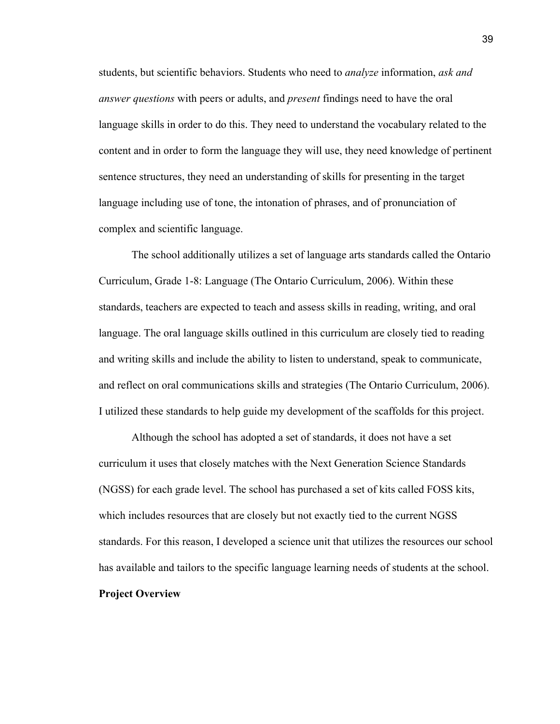students, but scientific behaviors. Students who need to *analyze* information, *ask and answer questions* with peers or adults, and *present* findings need to have the oral language skills in order to do this. They need to understand the vocabulary related to the content and in order to form the language they will use, they need knowledge of pertinent sentence structures, they need an understanding of skills for presenting in the target language including use of tone, the intonation of phrases, and of pronunciation of complex and scientific language.

The school additionally utilizes a set of language arts standards called the Ontario Curriculum, Grade 1-8: Language (The Ontario Curriculum, 2006). Within these standards, teachers are expected to teach and assess skills in reading, writing, and oral language. The oral language skills outlined in this curriculum are closely tied to reading and writing skills and include the ability to listen to understand, speak to communicate, and reflect on oral communications skills and strategies (The Ontario Curriculum, 2006). I utilized these standards to help guide my development of the scaffolds for this project.

Although the school has adopted a set of standards, it does not have a set curriculum it uses that closely matches with the Next Generation Science Standards (NGSS) for each grade level. The school has purchased a set of kits called FOSS kits, which includes resources that are closely but not exactly tied to the current NGSS standards. For this reason, I developed a science unit that utilizes the resources our school has available and tailors to the specific language learning needs of students at the school. **Project Overview**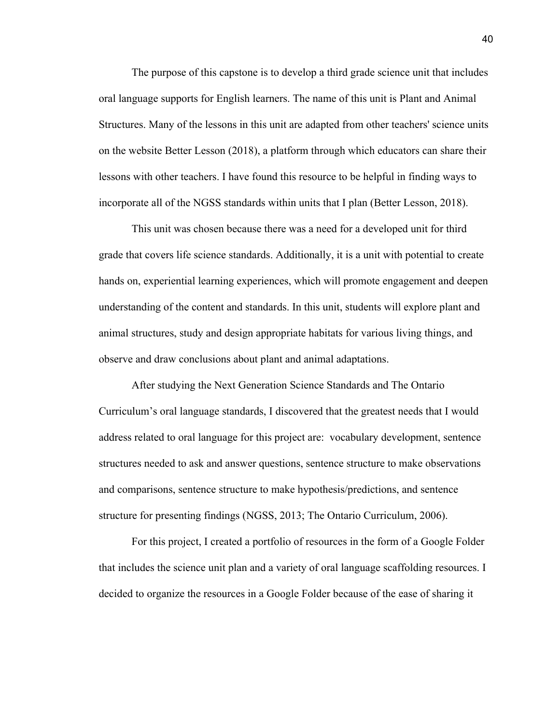The purpose of this capstone is to develop a third grade science unit that includes oral language supports for English learners. The name of this unit is Plant and Animal Structures. Many of the lessons in this unit are adapted from other teachers' science units on the website Better Lesson (2018), a platform through which educators can share their lessons with other teachers. I have found this resource to be helpful in finding ways to incorporate all of the NGSS standards within units that I plan (Better Lesson, 2018).

This unit was chosen because there was a need for a developed unit for third grade that covers life science standards. Additionally, it is a unit with potential to create hands on, experiential learning experiences, which will promote engagement and deepen understanding of the content and standards. In this unit, students will explore plant and animal structures, study and design appropriate habitats for various living things, and observe and draw conclusions about plant and animal adaptations.

After studying the Next Generation Science Standards and The Ontario Curriculum's oral language standards, I discovered that the greatest needs that I would address related to oral language for this project are: vocabulary development, sentence structures needed to ask and answer questions, sentence structure to make observations and comparisons, sentence structure to make hypothesis/predictions, and sentence structure for presenting findings (NGSS, 2013; The Ontario Curriculum, 2006).

For this project, I created a portfolio of resources in the form of a Google Folder that includes the science unit plan and a variety of oral language scaffolding resources. I decided to organize the resources in a Google Folder because of the ease of sharing it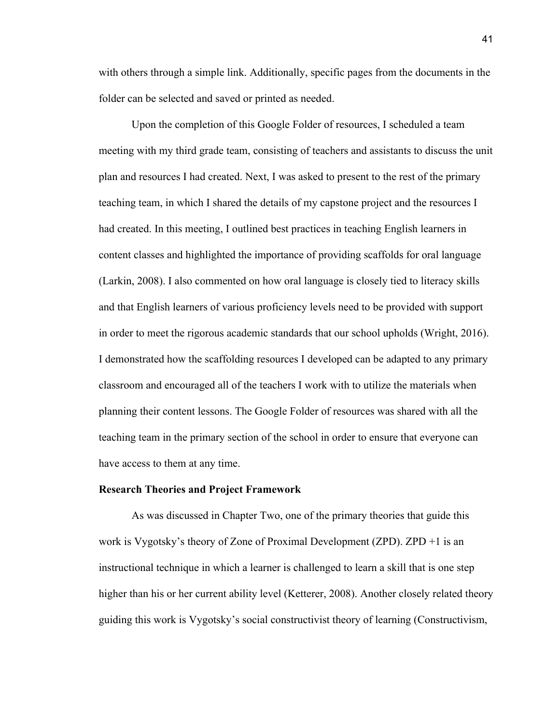with others through a simple link. Additionally, specific pages from the documents in the folder can be selected and saved or printed as needed.

Upon the completion of this Google Folder of resources, I scheduled a team meeting with my third grade team, consisting of teachers and assistants to discuss the unit plan and resources I had created. Next, I was asked to present to the rest of the primary teaching team, in which I shared the details of my capstone project and the resources I had created. In this meeting, I outlined best practices in teaching English learners in content classes and highlighted the importance of providing scaffolds for oral language (Larkin, 2008). I also commented on how oral language is closely tied to literacy skills and that English learners of various proficiency levels need to be provided with support in order to meet the rigorous academic standards that our school upholds (Wright, 2016). I demonstrated how the scaffolding resources I developed can be adapted to any primary classroom and encouraged all of the teachers I work with to utilize the materials when planning their content lessons. The Google Folder of resources was shared with all the teaching team in the primary section of the school in order to ensure that everyone can have access to them at any time.

# **Research Theories and Project Framework**

As was discussed in Chapter Two, one of the primary theories that guide this work is Vygotsky's theory of Zone of Proximal Development (ZPD). ZPD +1 is an instructional technique in which a learner is challenged to learn a skill that is one step higher than his or her current ability level (Ketterer, 2008). Another closely related theory guiding this work is Vygotsky's social constructivist theory of learning (Constructivism,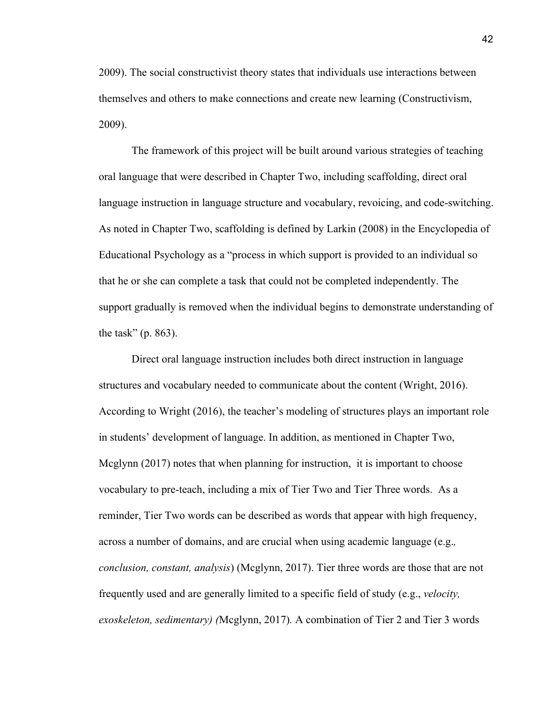2009). The social constructivist theory states that individuals use interactions between themselves and others to make connections and create new learning (Constructivism, 2009).

The framework of this project will be built around various strategies of teaching oral language that were described in Chapter Two, including scaffolding, direct oral language instruction in language structure and vocabulary, revoicing, and code-switching. As noted in Chapter Two, scaffolding is defined by Larkin (2008) in the Encyclopedia of Educational Psychology as a "process in which support is provided to an individual so that he or she can complete a task that could not be completed independently. The support gradually is removed when the individual begins to demonstrate understanding of the task" (p. 863).

Direct oral language instruction includes both direct instruction in language structures and vocabulary needed to communicate about the content (Wright, 2016). According to Wright (2016), the teacher's modeling of structures plays an important role in students' development of language. In addition, as mentioned in Chapter Two, Mcglynn (2017) notes that when planning for instruction, it is important to choose vocabulary to pre-teach, including a mix of Tier Two and Tier Three words. As a reminder, Tier Two words can be described as words that appear with high frequency, across a number of domains, and are crucial when using academic language (e.g.*, conclusion, constant, analysis*) (Mcglynn, 2017). Tier three words are those that are not frequently used and are generally limited to a specific field of study (e.g., *velocity, exoskeleton, sedimentary) (*Mcglynn, 2017)*.* A combination of Tier 2 and Tier 3 words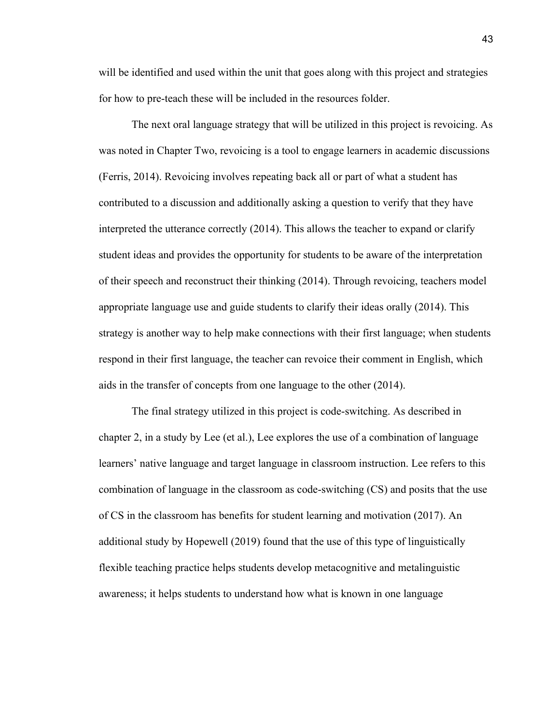will be identified and used within the unit that goes along with this project and strategies for how to pre-teach these will be included in the resources folder.

The next oral language strategy that will be utilized in this project is revoicing. As was noted in Chapter Two, revoicing is a tool to engage learners in academic discussions (Ferris, 2014). Revoicing involves repeating back all or part of what a student has contributed to a discussion and additionally asking a question to verify that they have interpreted the utterance correctly (2014). This allows the teacher to expand or clarify student ideas and provides the opportunity for students to be aware of the interpretation of their speech and reconstruct their thinking (2014). Through revoicing, teachers model appropriate language use and guide students to clarify their ideas orally (2014). This strategy is another way to help make connections with their first language; when students respond in their first language, the teacher can revoice their comment in English, which aids in the transfer of concepts from one language to the other (2014).

The final strategy utilized in this project is code-switching. As described in chapter 2, in a study by Lee (et al.), Lee explores the use of a combination of language learners' native language and target language in classroom instruction. Lee refers to this combination of language in the classroom as code-switching (CS) and posits that the use of CS in the classroom has benefits for student learning and motivation (2017). An additional study by Hopewell (2019) found that the use of this type of linguistically flexible teaching practice helps students develop metacognitive and metalinguistic awareness; it helps students to understand how what is known in one language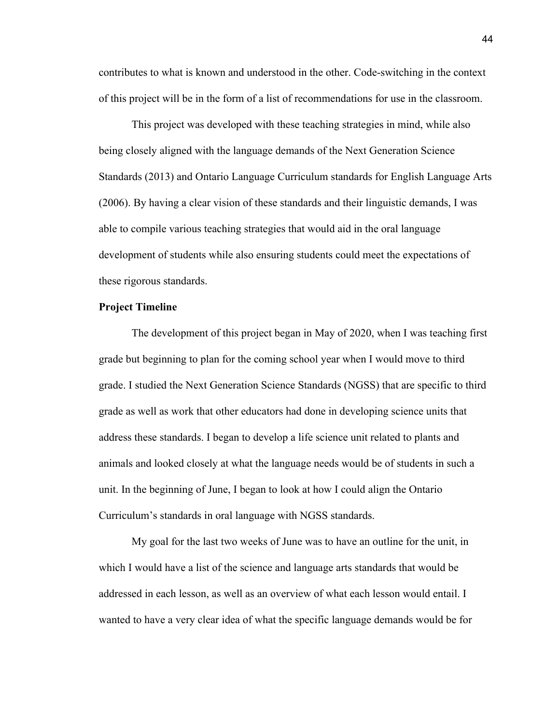contributes to what is known and understood in the other. Code-switching in the context of this project will be in the form of a list of recommendations for use in the classroom.

This project was developed with these teaching strategies in mind, while also being closely aligned with the language demands of the Next Generation Science Standards (2013) and Ontario Language Curriculum standards for English Language Arts (2006). By having a clear vision of these standards and their linguistic demands, I was able to compile various teaching strategies that would aid in the oral language development of students while also ensuring students could meet the expectations of these rigorous standards.

# **Project Timeline**

The development of this project began in May of 2020, when I was teaching first grade but beginning to plan for the coming school year when I would move to third grade. I studied the Next Generation Science Standards (NGSS) that are specific to third grade as well as work that other educators had done in developing science units that address these standards. I began to develop a life science unit related to plants and animals and looked closely at what the language needs would be of students in such a unit. In the beginning of June, I began to look at how I could align the Ontario Curriculum's standards in oral language with NGSS standards.

My goal for the last two weeks of June was to have an outline for the unit, in which I would have a list of the science and language arts standards that would be addressed in each lesson, as well as an overview of what each lesson would entail. I wanted to have a very clear idea of what the specific language demands would be for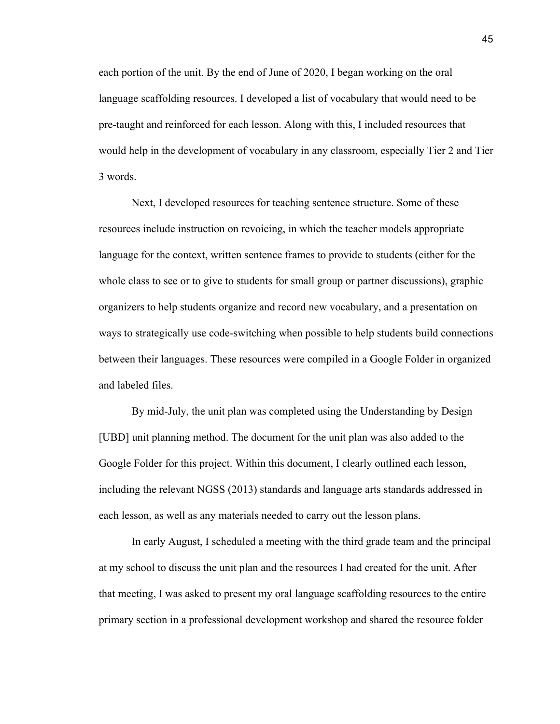each portion of the unit. By the end of June of 2020, I began working on the oral language scaffolding resources. I developed a list of vocabulary that would need to be pre-taught and reinforced for each lesson. Along with this, I included resources that would help in the development of vocabulary in any classroom, especially Tier 2 and Tier 3 words.

Next, I developed resources for teaching sentence structure. Some of these resources include instruction on revoicing, in which the teacher models appropriate language for the context, written sentence frames to provide to students (either for the whole class to see or to give to students for small group or partner discussions), graphic organizers to help students organize and record new vocabulary, and a presentation on ways to strategically use code-switching when possible to help students build connections between their languages. These resources were compiled in a Google Folder in organized and labeled files.

By mid-July, the unit plan was completed using the Understanding by Design [UBD] unit planning method. The document for the unit plan was also added to the Google Folder for this project. Within this document, I clearly outlined each lesson, including the relevant NGSS (2013) standards and language arts standards addressed in each lesson, as well as any materials needed to carry out the lesson plans.

In early August, I scheduled a meeting with the third grade team and the principal at my school to discuss the unit plan and the resources I had created for the unit. After that meeting, I was asked to present my oral language scaffolding resources to the entire primary section in a professional development workshop and shared the resource folder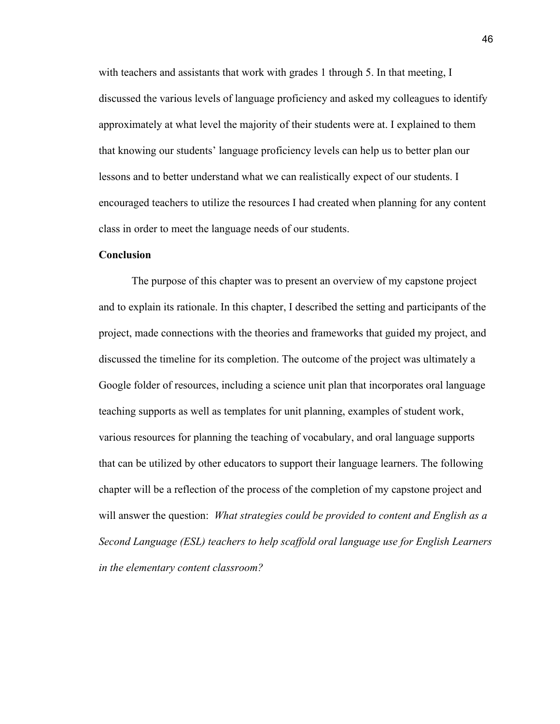with teachers and assistants that work with grades 1 through 5. In that meeting, I discussed the various levels of language proficiency and asked my colleagues to identify approximately at what level the majority of their students were at. I explained to them that knowing our students' language proficiency levels can help us to better plan our lessons and to better understand what we can realistically expect of our students. I encouraged teachers to utilize the resources I had created when planning for any content class in order to meet the language needs of our students.

# **Conclusion**

The purpose of this chapter was to present an overview of my capstone project and to explain its rationale. In this chapter, I described the setting and participants of the project, made connections with the theories and frameworks that guided my project, and discussed the timeline for its completion. The outcome of the project was ultimately a Google folder of resources, including a science unit plan that incorporates oral language teaching supports as well as templates for unit planning, examples of student work, various resources for planning the teaching of vocabulary, and oral language supports that can be utilized by other educators to support their language learners. The following chapter will be a reflection of the process of the completion of my capstone project and will answer the question: *What strategies could be provided to content and English as a Second Language (ESL) teachers to help scaffold oral language use for English Learners in the elementary content classroom?*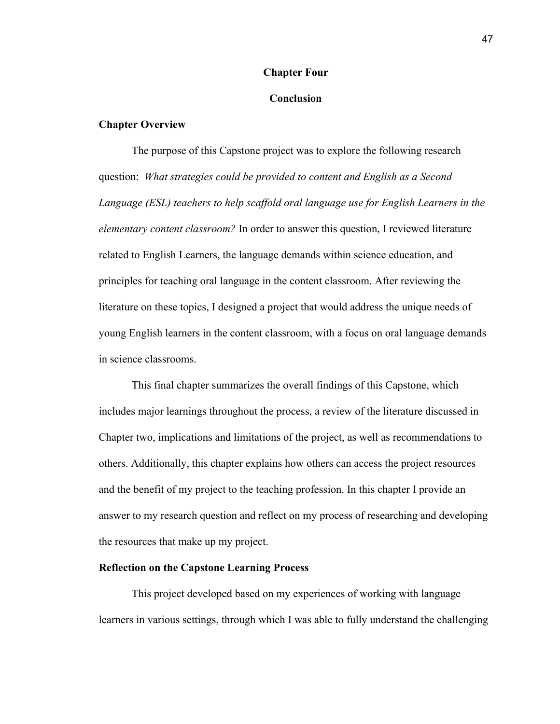# **Chapter Four**

#### **Conclusion**

#### **Chapter Overview**

The purpose of this Capstone project was to explore the following research question: *What strategies could be provided to content and English as a Second Language (ESL) teachers to help scaffold oral language use for English Learners in the elementary content classroom?* In order to answer this question, I reviewed literature related to English Learners, the language demands within science education, and principles for teaching oral language in the content classroom. After reviewing the literature on these topics, I designed a project that would address the unique needs of young English learners in the content classroom, with a focus on oral language demands in science classrooms.

This final chapter summarizes the overall findings of this Capstone, which includes major learnings throughout the process, a review of the literature discussed in Chapter two, implications and limitations of the project, as well as recommendations to others. Additionally, this chapter explains how others can access the project resources and the benefit of my project to the teaching profession. In this chapter I provide an answer to my research question and reflect on my process of researching and developing the resources that make up my project.

# **Reflection on the Capstone Learning Process**

This project developed based on my experiences of working with language learners in various settings, through which I was able to fully understand the challenging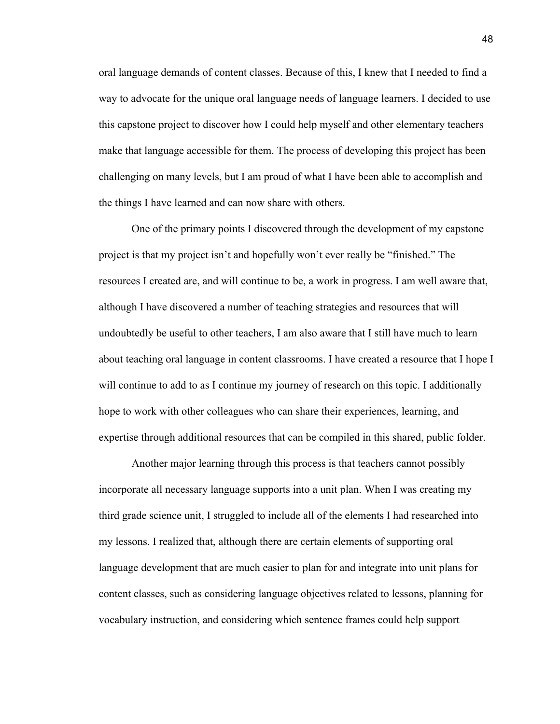oral language demands of content classes. Because of this, I knew that I needed to find a way to advocate for the unique oral language needs of language learners. I decided to use this capstone project to discover how I could help myself and other elementary teachers make that language accessible for them. The process of developing this project has been challenging on many levels, but I am proud of what I have been able to accomplish and the things I have learned and can now share with others.

One of the primary points I discovered through the development of my capstone project is that my project isn't and hopefully won't ever really be "finished." The resources I created are, and will continue to be, a work in progress. I am well aware that, although I have discovered a number of teaching strategies and resources that will undoubtedly be useful to other teachers, I am also aware that I still have much to learn about teaching oral language in content classrooms. I have created a resource that I hope I will continue to add to as I continue my journey of research on this topic. I additionally hope to work with other colleagues who can share their experiences, learning, and expertise through additional resources that can be compiled in this shared, public folder.

Another major learning through this process is that teachers cannot possibly incorporate all necessary language supports into a unit plan. When I was creating my third grade science unit, I struggled to include all of the elements I had researched into my lessons. I realized that, although there are certain elements of supporting oral language development that are much easier to plan for and integrate into unit plans for content classes, such as considering language objectives related to lessons, planning for vocabulary instruction, and considering which sentence frames could help support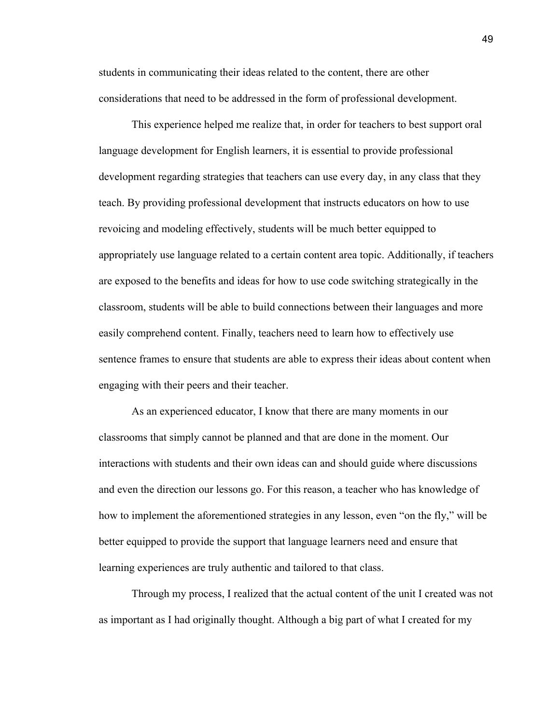students in communicating their ideas related to the content, there are other considerations that need to be addressed in the form of professional development.

This experience helped me realize that, in order for teachers to best support oral language development for English learners, it is essential to provide professional development regarding strategies that teachers can use every day, in any class that they teach. By providing professional development that instructs educators on how to use revoicing and modeling effectively, students will be much better equipped to appropriately use language related to a certain content area topic. Additionally, if teachers are exposed to the benefits and ideas for how to use code switching strategically in the classroom, students will be able to build connections between their languages and more easily comprehend content. Finally, teachers need to learn how to effectively use sentence frames to ensure that students are able to express their ideas about content when engaging with their peers and their teacher.

As an experienced educator, I know that there are many moments in our classrooms that simply cannot be planned and that are done in the moment. Our interactions with students and their own ideas can and should guide where discussions and even the direction our lessons go. For this reason, a teacher who has knowledge of how to implement the aforementioned strategies in any lesson, even "on the fly," will be better equipped to provide the support that language learners need and ensure that learning experiences are truly authentic and tailored to that class.

Through my process, I realized that the actual content of the unit I created was not as important as I had originally thought. Although a big part of what I created for my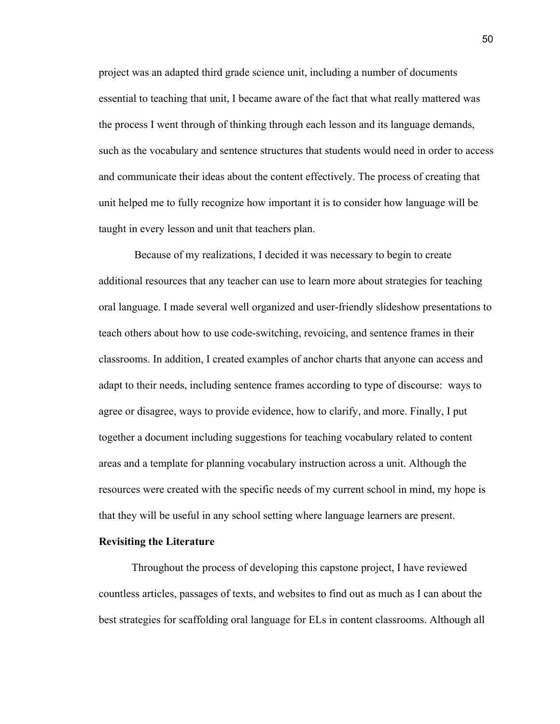project was an adapted third grade science unit, including a number of documents essential to teaching that unit, I became aware of the fact that what really mattered was the process I went through of thinking through each lesson and its language demands, such as the vocabulary and sentence structures that students would need in order to access and communicate their ideas about the content effectively. The process of creating that unit helped me to fully recognize how important it is to consider how language will be taught in every lesson and unit that teachers plan.

 Because of my realizations, I decided it was necessary to begin to create additional resources that any teacher can use to learn more about strategies for teaching oral language. I made several well organized and user-friendly slideshow presentations to teach others about how to use code-switching, revoicing, and sentence frames in their classrooms. In addition, I created examples of anchor charts that anyone can access and adapt to their needs, including sentence frames according to type of discourse: ways to agree or disagree, ways to provide evidence, how to clarify, and more. Finally, I put together a document including suggestions for teaching vocabulary related to content areas and a template for planning vocabulary instruction across a unit. Although the resources were created with the specific needs of my current school in mind, my hope is that they will be useful in any school setting where language learners are present.

# **Revisiting the Literature**

Throughout the process of developing this capstone project, I have reviewed countless articles, passages of texts, and websites to find out as much as I can about the best strategies for scaffolding oral language for ELs in content classrooms. Although all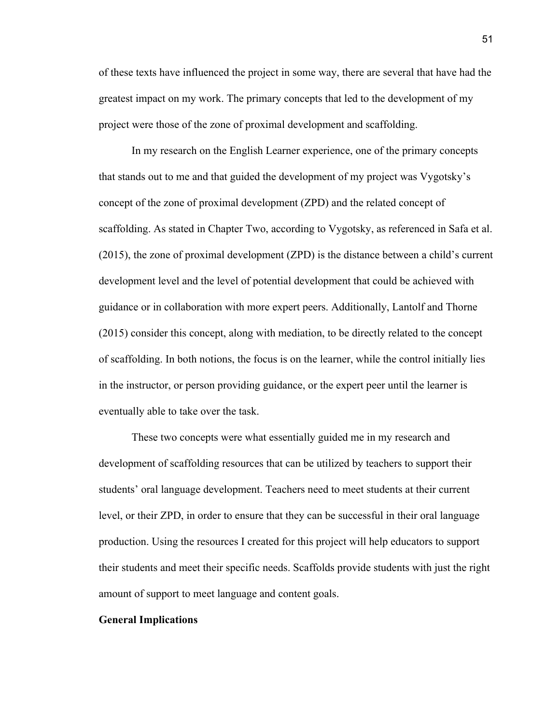of these texts have influenced the project in some way, there are several that have had the greatest impact on my work. The primary concepts that led to the development of my project were those of the zone of proximal development and scaffolding.

In my research on the English Learner experience, one of the primary concepts that stands out to me and that guided the development of my project was Vygotsky's concept of the zone of proximal development (ZPD) and the related concept of scaffolding. As stated in Chapter Two, according to Vygotsky, as referenced in Safa et al. (2015), the zone of proximal development (ZPD) is the distance between a child's current development level and the level of potential development that could be achieved with guidance or in collaboration with more expert peers. Additionally, Lantolf and Thorne (2015) consider this concept, along with mediation, to be directly related to the concept of scaffolding. In both notions, the focus is on the learner, while the control initially lies in the instructor, or person providing guidance, or the expert peer until the learner is eventually able to take over the task.

These two concepts were what essentially guided me in my research and development of scaffolding resources that can be utilized by teachers to support their students' oral language development. Teachers need to meet students at their current level, or their ZPD, in order to ensure that they can be successful in their oral language production. Using the resources I created for this project will help educators to support their students and meet their specific needs. Scaffolds provide students with just the right amount of support to meet language and content goals.

#### **General Implications**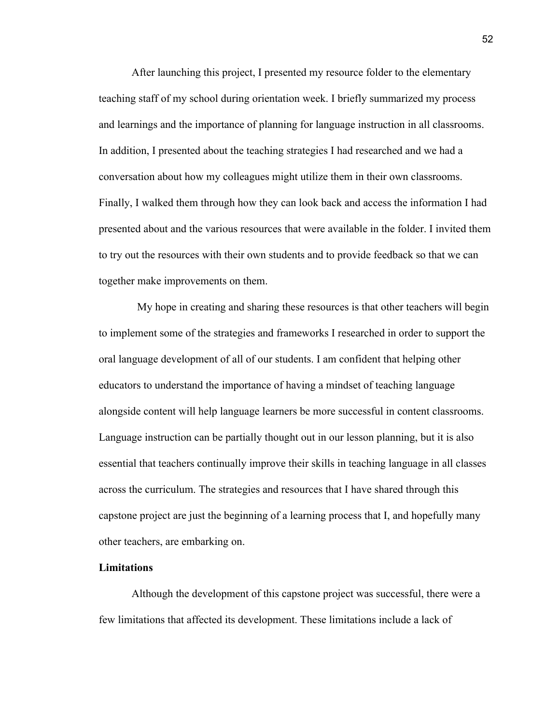After launching this project, I presented my resource folder to the elementary teaching staff of my school during orientation week. I briefly summarized my process and learnings and the importance of planning for language instruction in all classrooms. In addition, I presented about the teaching strategies I had researched and we had a conversation about how my colleagues might utilize them in their own classrooms. Finally, I walked them through how they can look back and access the information I had presented about and the various resources that were available in the folder. I invited them to try out the resources with their own students and to provide feedback so that we can together make improvements on them.

 My hope in creating and sharing these resources is that other teachers will begin to implement some of the strategies and frameworks I researched in order to support the oral language development of all of our students. I am confident that helping other educators to understand the importance of having a mindset of teaching language alongside content will help language learners be more successful in content classrooms. Language instruction can be partially thought out in our lesson planning, but it is also essential that teachers continually improve their skills in teaching language in all classes across the curriculum. The strategies and resources that I have shared through this capstone project are just the beginning of a learning process that I, and hopefully many other teachers, are embarking on.

# **Limitations**

Although the development of this capstone project was successful, there were a few limitations that affected its development. These limitations include a lack of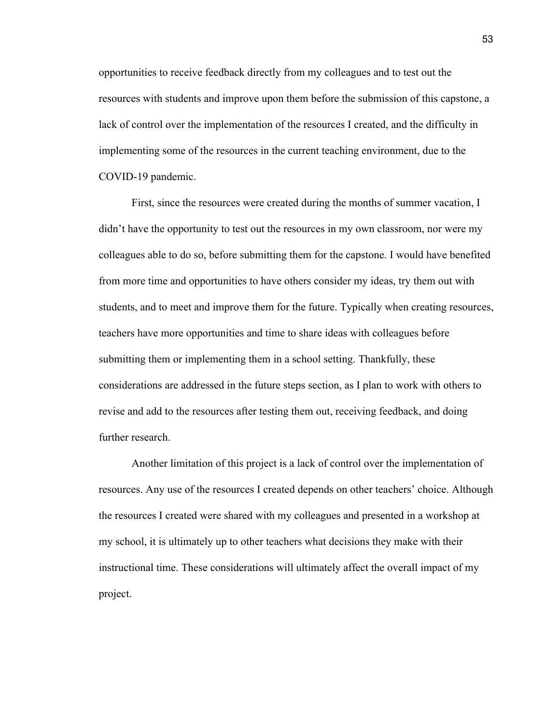opportunities to receive feedback directly from my colleagues and to test out the resources with students and improve upon them before the submission of this capstone, a lack of control over the implementation of the resources I created, and the difficulty in implementing some of the resources in the current teaching environment, due to the COVID-19 pandemic.

First, since the resources were created during the months of summer vacation, I didn't have the opportunity to test out the resources in my own classroom, nor were my colleagues able to do so, before submitting them for the capstone. I would have benefited from more time and opportunities to have others consider my ideas, try them out with students, and to meet and improve them for the future. Typically when creating resources, teachers have more opportunities and time to share ideas with colleagues before submitting them or implementing them in a school setting. Thankfully, these considerations are addressed in the future steps section, as I plan to work with others to revise and add to the resources after testing them out, receiving feedback, and doing further research.

Another limitation of this project is a lack of control over the implementation of resources. Any use of the resources I created depends on other teachers' choice. Although the resources I created were shared with my colleagues and presented in a workshop at my school, it is ultimately up to other teachers what decisions they make with their instructional time. These considerations will ultimately affect the overall impact of my project.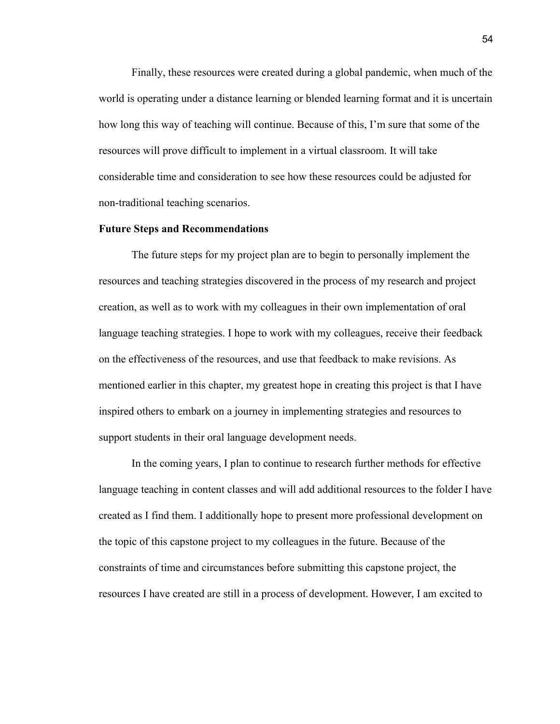Finally, these resources were created during a global pandemic, when much of the world is operating under a distance learning or blended learning format and it is uncertain how long this way of teaching will continue. Because of this, I'm sure that some of the resources will prove difficult to implement in a virtual classroom. It will take considerable time and consideration to see how these resources could be adjusted for non-traditional teaching scenarios.

#### **Future Steps and Recommendations**

The future steps for my project plan are to begin to personally implement the resources and teaching strategies discovered in the process of my research and project creation, as well as to work with my colleagues in their own implementation of oral language teaching strategies. I hope to work with my colleagues, receive their feedback on the effectiveness of the resources, and use that feedback to make revisions. As mentioned earlier in this chapter, my greatest hope in creating this project is that I have inspired others to embark on a journey in implementing strategies and resources to support students in their oral language development needs.

In the coming years, I plan to continue to research further methods for effective language teaching in content classes and will add additional resources to the folder I have created as I find them. I additionally hope to present more professional development on the topic of this capstone project to my colleagues in the future. Because of the constraints of time and circumstances before submitting this capstone project, the resources I have created are still in a process of development. However, I am excited to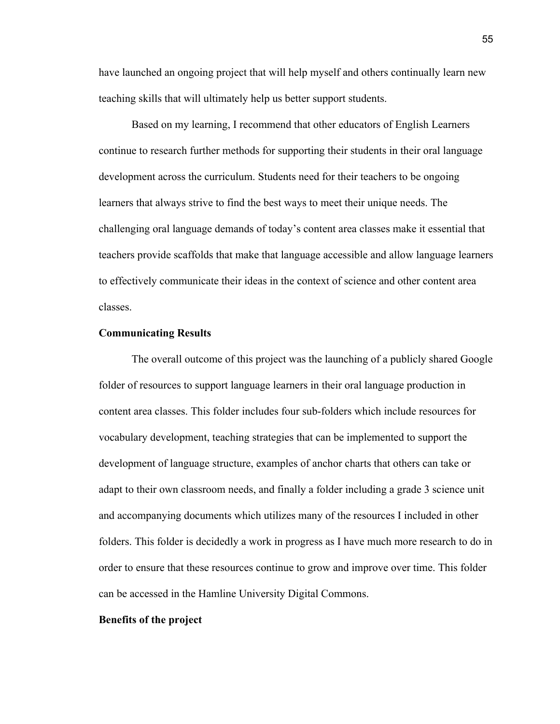have launched an ongoing project that will help myself and others continually learn new teaching skills that will ultimately help us better support students.

Based on my learning, I recommend that other educators of English Learners continue to research further methods for supporting their students in their oral language development across the curriculum. Students need for their teachers to be ongoing learners that always strive to find the best ways to meet their unique needs. The challenging oral language demands of today's content area classes make it essential that teachers provide scaffolds that make that language accessible and allow language learners to effectively communicate their ideas in the context of science and other content area classes.

# **Communicating Results**

The overall outcome of this project was the launching of a publicly shared Google folder of resources to support language learners in their oral language production in content area classes. This folder includes four sub-folders which include resources for vocabulary development, teaching strategies that can be implemented to support the development of language structure, examples of anchor charts that others can take or adapt to their own classroom needs, and finally a folder including a grade 3 science unit and accompanying documents which utilizes many of the resources I included in other folders. This folder is decidedly a work in progress as I have much more research to do in order to ensure that these resources continue to grow and improve over time. This folder can be accessed in the Hamline University Digital Commons.

#### **Benefits of the project**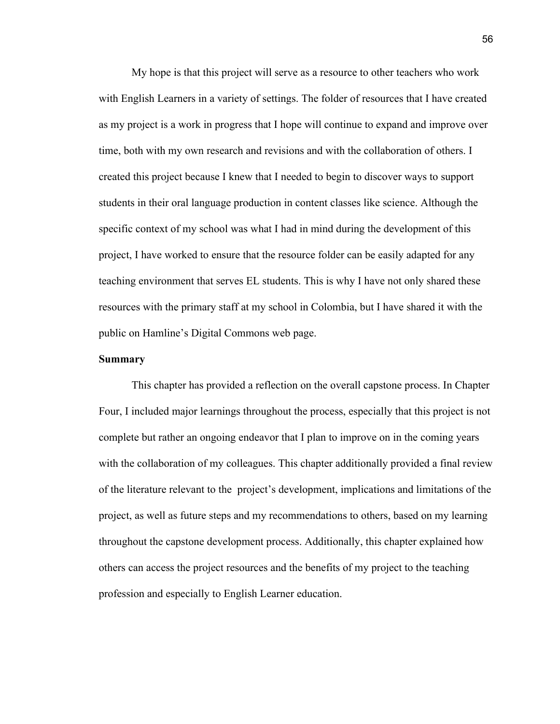My hope is that this project will serve as a resource to other teachers who work with English Learners in a variety of settings. The folder of resources that I have created as my project is a work in progress that I hope will continue to expand and improve over time, both with my own research and revisions and with the collaboration of others. I created this project because I knew that I needed to begin to discover ways to support students in their oral language production in content classes like science. Although the specific context of my school was what I had in mind during the development of this project, I have worked to ensure that the resource folder can be easily adapted for any teaching environment that serves EL students. This is why I have not only shared these resources with the primary staff at my school in Colombia, but I have shared it with the public on Hamline's Digital Commons web page.

#### **Summary**

This chapter has provided a reflection on the overall capstone process. In Chapter Four, I included major learnings throughout the process, especially that this project is not complete but rather an ongoing endeavor that I plan to improve on in the coming years with the collaboration of my colleagues. This chapter additionally provided a final review of the literature relevant to the project's development, implications and limitations of the project, as well as future steps and my recommendations to others, based on my learning throughout the capstone development process. Additionally, this chapter explained how others can access the project resources and the benefits of my project to the teaching profession and especially to English Learner education.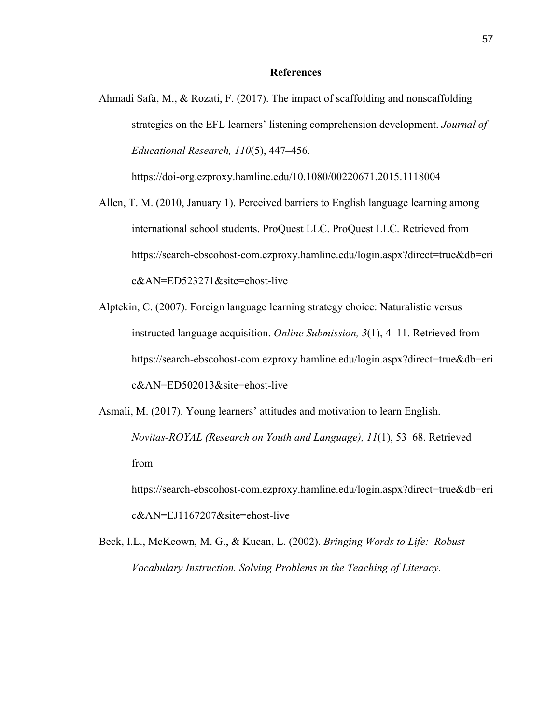#### **References**

Ahmadi Safa, M., & Rozati, F. (2017). The impact of scaffolding and nonscaffolding strategies on the EFL learners' listening comprehension development. *Journal of Educational Research, 110*(5), 447–456.

https://doi-org.ezproxy.hamline.edu/10.1080/00220671.2015.1118004

- Allen, T. M. (2010, January 1). Perceived barriers to English language learning among international school students. ProQuest LLC. ProQuest LLC. Retrieved from https://search-ebscohost-com.ezproxy.hamline.edu/login.aspx?direct=true&db=eri c&AN=ED523271&site=ehost-live
- Alptekin, C. (2007). Foreign language learning strategy choice: Naturalistic versus instructed language acquisition. *Online Submission, 3*(1), 4–11. Retrieved from https://search-ebscohost-com.ezproxy.hamline.edu/login.aspx?direct=true&db=eri c&AN=ED502013&site=ehost-live
- Asmali, M. (2017). Young learners' attitudes and motivation to learn English. *Novitas-ROYAL (Research on Youth and Language), 11*(1), 53–68. Retrieved from https://search-ebscohost-com.ezproxy.hamline.edu/login.aspx?direct=true&db=eri

c&AN=EJ1167207&site=ehost-live

Beck, I.L., McKeown, M. G., & Kucan, L. (2002). *Bringing Words to Life: Robust Vocabulary Instruction. Solving Problems in the Teaching of Literacy.*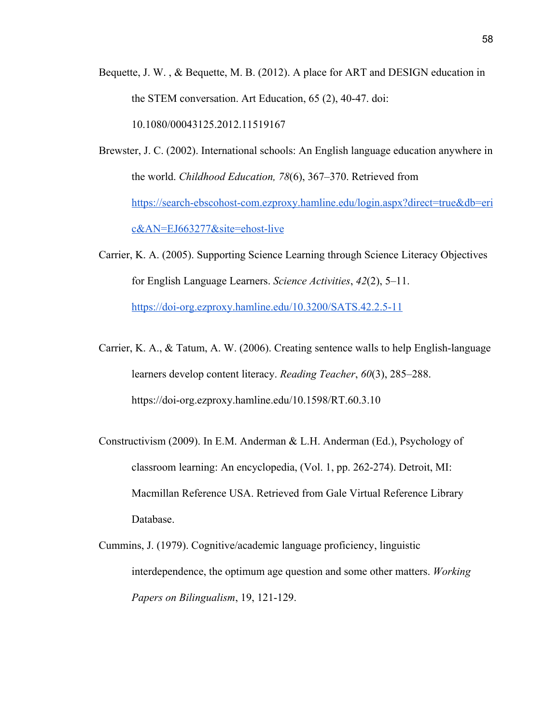- Bequette, J. W. , & Bequette, M. B. (2012). A place for ART and DESIGN education in the STEM conversation. Art Education, 65 (2), 40-47. doi: 10.1080/00043125.2012.11519167
- Brewster, J. C. (2002). International schools: An English language education anywhere in the world. *Childhood Education, 78*(6), 367–370. Retrieved from [https://search-ebscohost-com.ezproxy.hamline.edu/login.aspx?direct=true&db=eri](https://search-ebscohost-com.ezproxy.hamline.edu/login.aspx?direct=true&db=eric&AN=EJ663277&site=ehost-live) [c&AN=EJ663277&site=ehost-live](https://search-ebscohost-com.ezproxy.hamline.edu/login.aspx?direct=true&db=eric&AN=EJ663277&site=ehost-live)
- Carrier, K. A. (2005). Supporting Science Learning through Science Literacy Objectives for English Language Learners. *Science Activities*, *42*(2), 5–11. <https://doi-org.ezproxy.hamline.edu/10.3200/SATS.42.2.5-11>
- Carrier, K. A., & Tatum, A. W. (2006). Creating sentence walls to help English-language learners develop content literacy. *Reading Teacher*, *60*(3), 285–288. https://doi-org.ezproxy.hamline.edu/10.1598/RT.60.3.10
- Constructivism (2009). In E.M. Anderman & L.H. Anderman (Ed.), Psychology of classroom learning: An encyclopedia, (Vol. 1, pp. 262-274). Detroit, MI: Macmillan Reference USA. Retrieved from Gale Virtual Reference Library Database.
- Cummins, J. (1979). Cognitive/academic language proficiency, linguistic interdependence, the optimum age question and some other matters. *Working Papers on Bilingualism*, 19, 121-129.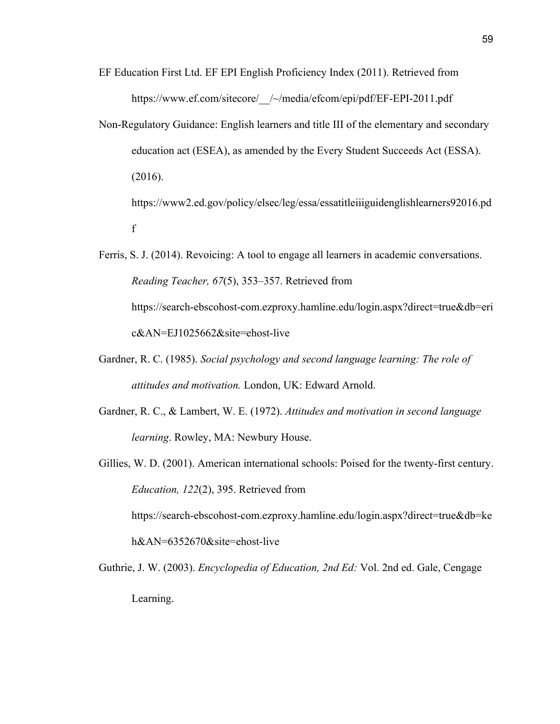- EF Education First Ltd. EF EPI English Proficiency Index (2011). Retrieved from https://www.ef.com/sitecore/\_\_/~/media/efcom/epi/pdf/EF-EPI-2011.pdf
- Non-Regulatory Guidance: English learners and title III of the elementary and secondary education act (ESEA), as amended by the Every Student Succeeds Act (ESSA). (2016). https://www2.ed.gov/policy/elsec/leg/essa/essatitleiiiguidenglishlearners92016.pd

f

- Ferris, S. J. (2014). Revoicing: A tool to engage all learners in academic conversations. *Reading Teacher, 67*(5), 353–357. Retrieved from https://search-ebscohost-com.ezproxy.hamline.edu/login.aspx?direct=true&db=eri c&AN=EJ1025662&site=ehost-live
- Gardner, R. C. (1985). *Social psychology and second language learning: The role of attitudes and motivation.* London, UK: Edward Arnold.
- Gardner, R. C., & Lambert, W. E. (1972). *Attitudes and motivation in second language learning*. Rowley, MA: Newbury House.
- Gillies, W. D. (2001). American international schools: Poised for the twenty-first century. *Education, 122*(2), 395. Retrieved from

https://search-ebscohost-com.ezproxy.hamline.edu/login.aspx?direct=true&db=ke h&AN=6352670&site=ehost-live

Guthrie, J. W. (2003). *Encyclopedia of Education, 2nd Ed:* Vol. 2nd ed. Gale, Cengage Learning.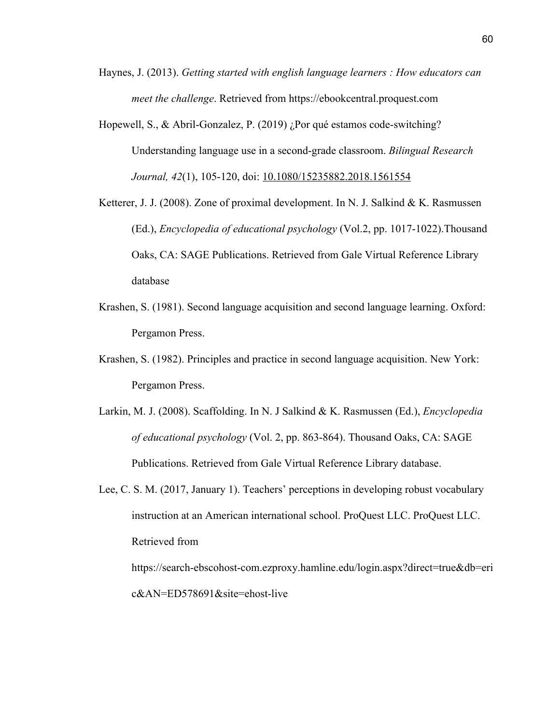- Haynes, J. (2013). *Getting started with english language learners : How educators can meet the challenge*. Retrieved from https://ebookcentral.proquest.com
- Hopewell, S., & Abril-Gonzalez, P. (2019) ¿Por qué estamos code-switching? Understanding language use in a second-grade classroom. *Bilingual Research Journal, 42*(1), 105-120, doi: [10.1080/15235882.2018.1561554](https://doi-org.ezproxy.hamline.edu/10.1080/15235882.2018.1561554)
- Ketterer, J. J. (2008). Zone of proximal development. In N. J. Salkind & K. Rasmussen (Ed.), *Encyclopedia of educational psychology* (Vol.2, pp. 1017-1022).Thousand Oaks, CA: SAGE Publications. Retrieved from Gale Virtual Reference Library database
- Krashen, S. (1981). Second language acquisition and second language learning. Oxford: Pergamon Press.
- Krashen, S. (1982). Principles and practice in second language acquisition. New York: Pergamon Press.
- Larkin, M. J. (2008). Scaffolding. In N. J Salkind & K. Rasmussen (Ed.), *Encyclopedia of educational psychology* (Vol. 2, pp. 863-864). Thousand Oaks, CA: SAGE Publications. Retrieved from Gale Virtual Reference Library database.
- Lee, C. S. M. (2017, January 1). Teachers' perceptions in developing robust vocabulary instruction at an American international school. ProQuest LLC. ProQuest LLC. Retrieved from

https://search-ebscohost-com.ezproxy.hamline.edu/login.aspx?direct=true&db=eri c&AN=ED578691&site=ehost-live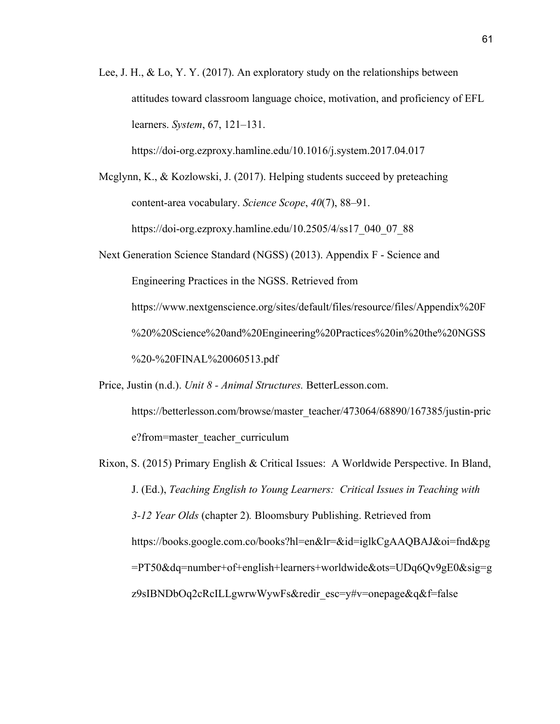Lee, J. H., & Lo, Y. Y. (2017). An exploratory study on the relationships between attitudes toward classroom language choice, motivation, and proficiency of EFL learners. *System*, 67, 121–131.

https://doi-org.ezproxy.hamline.edu/10.1016/j.system.2017.04.017

Mcglynn, K., & Kozlowski, J. (2017). Helping students succeed by preteaching content-area vocabulary. *Science Scope*, *40*(7), 88–91. https://doi-org.ezproxy.hamline.edu/10.2505/4/ss17\_040\_07\_88

Next Generation Science Standard (NGSS) (2013). Appendix F - Science and Engineering Practices in the NGSS. Retrieved from https://www.nextgenscience.org/sites/default/files/resource/files/Appendix%20F %20%20Science%20and%20Engineering%20Practices%20in%20the%20NGSS %20-%20FINAL%20060513.pdf

Price, Justin (n.d.). *Unit 8 - Animal Structures.* BetterLesson.com.

https://betterlesson.com/browse/master\_teacher/473064/68890/167385/justin-pric e?from=master\_teacher\_curriculum

Rixon, S. (2015) Primary English & Critical Issues: A Worldwide Perspective. In Bland, J. (Ed.), *Teaching English to Young Learners: Critical Issues in Teaching with 3-12 Year Olds* (chapter 2)*.* Bloomsbury Publishing. Retrieved from https://books.google.com.co/books?hl=en&lr=&id=iglkCgAAQBAJ&oi=fnd&pg =PT50&dq=number+of+english+learners+worldwide&ots=UDq6Qv9gE0&sig=g z9sIBNDbOq2cRcILLgwrwWywFs&redir\_esc=y#v=onepage&q&f=false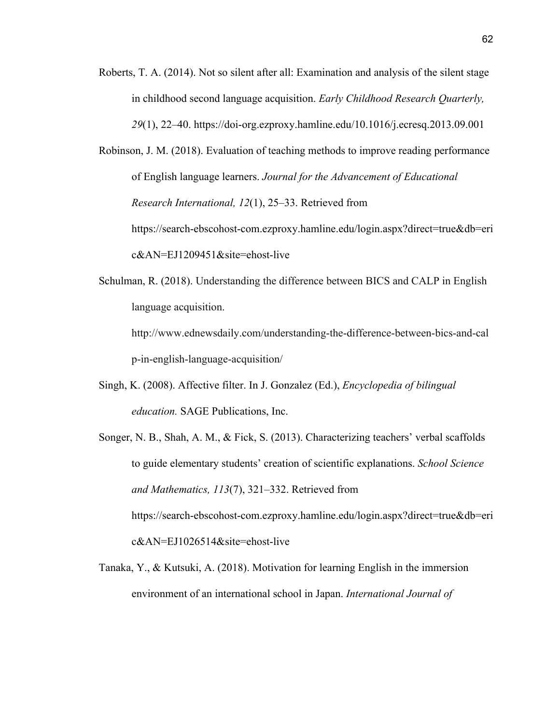Roberts, T. A. (2014). Not so silent after all: Examination and analysis of the silent stage in childhood second language acquisition. *Early Childhood Research Quarterly, 29*(1), 22–40. https://doi-org.ezproxy.hamline.edu/10.1016/j.ecresq.2013.09.001

Robinson, J. M. (2018). Evaluation of teaching methods to improve reading performance of English language learners. *Journal for the Advancement of Educational Research International, 12*(1), 25–33. Retrieved from https://search-ebscohost-com.ezproxy.hamline.edu/login.aspx?direct=true&db=eri c&AN=EJ1209451&site=ehost-live

Schulman, R. (2018). Understanding the difference between BICS and CALP in English language acquisition.

http://www.ednewsdaily.com/understanding-the-difference-between-bics-and-cal p-in-english-language-acquisition/

- Singh, K. (2008). Affective filter. In J. Gonzalez (Ed.), *Encyclopedia of bilingual education.* SAGE Publications, Inc.
- Songer, N. B., Shah, A. M., & Fick, S. (2013). Characterizing teachers' verbal scaffolds to guide elementary students' creation of scientific explanations. *School Science and Mathematics, 113*(7), 321–332. Retrieved from https://search-ebscohost-com.ezproxy.hamline.edu/login.aspx?direct=true&db=eri c&AN=EJ1026514&site=ehost-live
- Tanaka, Y., & Kutsuki, A. (2018). Motivation for learning English in the immersion environment of an international school in Japan. *International Journal of*